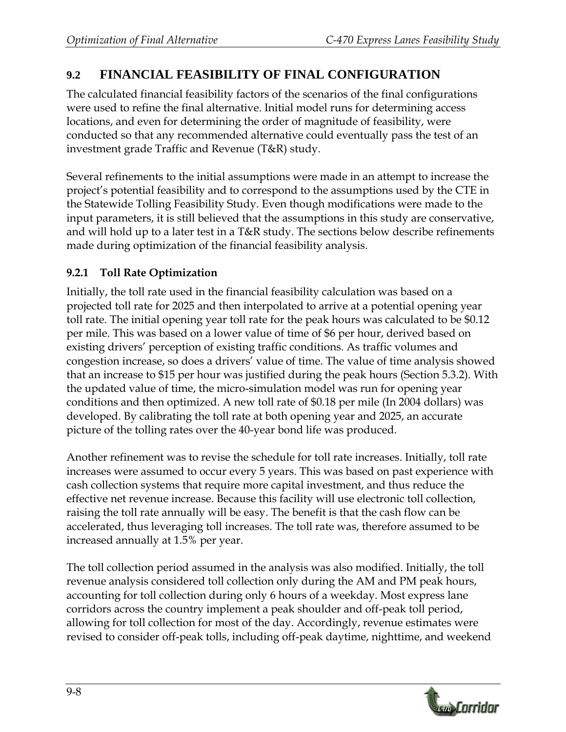# **9.2 FINANCIAL FEASIBILITY OF FINAL CONFIGURATION**

The calculated financial feasibility factors of the scenarios of the final configurations were used to refine the final alternative. Initial model runs for determining access locations, and even for determining the order of magnitude of feasibility, were conducted so that any recommended alternative could eventually pass the test of an investment grade Traffic and Revenue (T&R) study.

Several refinements to the initial assumptions were made in an attempt to increase the project's potential feasibility and to correspond to the assumptions used by the CTE in the Statewide Tolling Feasibility Study. Even though modifications were made to the input parameters, it is still believed that the assumptions in this study are conservative, and will hold up to a later test in a T&R study. The sections below describe refinements made during optimization of the financial feasibility analysis.

#### **9.2.1 Toll Rate Optimization**

Initially, the toll rate used in the financial feasibility calculation was based on a projected toll rate for 2025 and then interpolated to arrive at a potential opening year toll rate. The initial opening year toll rate for the peak hours was calculated to be \$0.12 per mile. This was based on a lower value of time of \$6 per hour, derived based on existing drivers' perception of existing traffic conditions. As traffic volumes and congestion increase, so does a drivers' value of time. The value of time analysis showed that an increase to \$15 per hour was justified during the peak hours (Section 5.3.2). With the updated value of time, the micro-simulation model was run for opening year conditions and then optimized. A new toll rate of \$0.18 per mile (In 2004 dollars) was developed. By calibrating the toll rate at both opening year and 2025, an accurate picture of the tolling rates over the 40-year bond life was produced.

Another refinement was to revise the schedule for toll rate increases. Initially, toll rate increases were assumed to occur every 5 years. This was based on past experience with cash collection systems that require more capital investment, and thus reduce the effective net revenue increase. Because this facility will use electronic toll collection, raising the toll rate annually will be easy. The benefit is that the cash flow can be accelerated, thus leveraging toll increases. The toll rate was, therefore assumed to be increased annually at 1.5% per year.

The toll collection period assumed in the analysis was also modified. Initially, the toll revenue analysis considered toll collection only during the AM and PM peak hours, accounting for toll collection during only 6 hours of a weekday. Most express lane corridors across the country implement a peak shoulder and off-peak toll period, allowing for toll collection for most of the day. Accordingly, revenue estimates were revised to consider off-peak tolls, including off-peak daytime, nighttime, and weekend

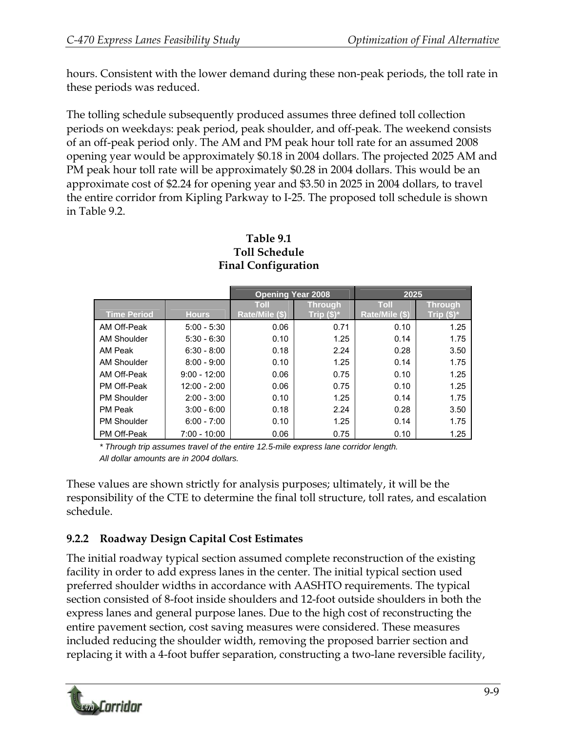hours. Consistent with the lower demand during these non-peak periods, the toll rate in these periods was reduced.

The tolling schedule subsequently produced assumes three defined toll collection periods on weekdays: peak period, peak shoulder, and off-peak. The weekend consists of an off-peak period only. The AM and PM peak hour toll rate for an assumed 2008 opening year would be approximately \$0.18 in 2004 dollars. The projected 2025 AM and PM peak hour toll rate will be approximately \$0.28 in 2004 dollars. This would be an approximate cost of \$2.24 for opening year and \$3.50 in 2025 in 2004 dollars, to travel the entire corridor from Kipling Parkway to I-25. The proposed toll schedule is shown in Table 9.2.

|                    |                | <b>Opening Year 2008</b>      |                              | 2025                          |                                 |  |  |
|--------------------|----------------|-------------------------------|------------------------------|-------------------------------|---------------------------------|--|--|
| <b>Time Period</b> | <b>Hours</b>   | <b>Toll</b><br>Rate/Mile (\$) | <b>Through</b><br>Trip (\$)* | <b>Toll</b><br>Rate/Mile (\$) | <b>Through</b><br>Trip $(\$)^*$ |  |  |
| AM Off-Peak        | $5:00 - 5:30$  | 0.06                          | 0.71                         | 0.10                          | 1.25                            |  |  |
| AM Shoulder        | $5:30 - 6:30$  | 0.10                          | 1.25                         | 0.14                          | 1.75                            |  |  |
| AM Peak            | $6:30 - 8:00$  | 0.18                          | 2.24                         | 0.28                          | 3.50                            |  |  |
| AM Shoulder        | $8:00 - 9:00$  | 0.10                          | 1.25                         | 0.14                          | 1.75                            |  |  |
| AM Off-Peak        | $9:00 - 12:00$ | 0.06                          | 0.75                         | 0.10                          | 1.25                            |  |  |
| PM Off-Peak        | $12:00 - 2:00$ | 0.06                          | 0.75                         | 0.10                          | 1.25                            |  |  |
| <b>PM Shoulder</b> | $2:00 - 3:00$  | 0.10                          | 1.25                         | 0.14                          | 1.75                            |  |  |
| <b>PM Peak</b>     | $3:00 - 6:00$  | 0.18                          | 2.24                         | 0.28                          | 3.50                            |  |  |
| <b>PM Shoulder</b> | $6:00 - 7:00$  | 0.10                          | 1.25                         | 0.14                          | 1.75                            |  |  |
| PM Off-Peak        | $7:00 - 10:00$ | 0.06                          | 0.75                         | 0.10                          | 1.25                            |  |  |

#### **Table 9.1 Toll Schedule Final Configuration**

*\* Through trip assumes travel of the entire 12.5-mile express lane corridor length. All dollar amounts are in 2004 dollars.* 

These values are shown strictly for analysis purposes; ultimately, it will be the responsibility of the CTE to determine the final toll structure, toll rates, and escalation schedule.

## **9.2.2 Roadway Design Capital Cost Estimates**

The initial roadway typical section assumed complete reconstruction of the existing facility in order to add express lanes in the center. The initial typical section used preferred shoulder widths in accordance with AASHTO requirements. The typical section consisted of 8-foot inside shoulders and 12-foot outside shoulders in both the express lanes and general purpose lanes. Due to the high cost of reconstructing the entire pavement section, cost saving measures were considered. These measures included reducing the shoulder width, removing the proposed barrier section and replacing it with a 4-foot buffer separation, constructing a two-lane reversible facility,

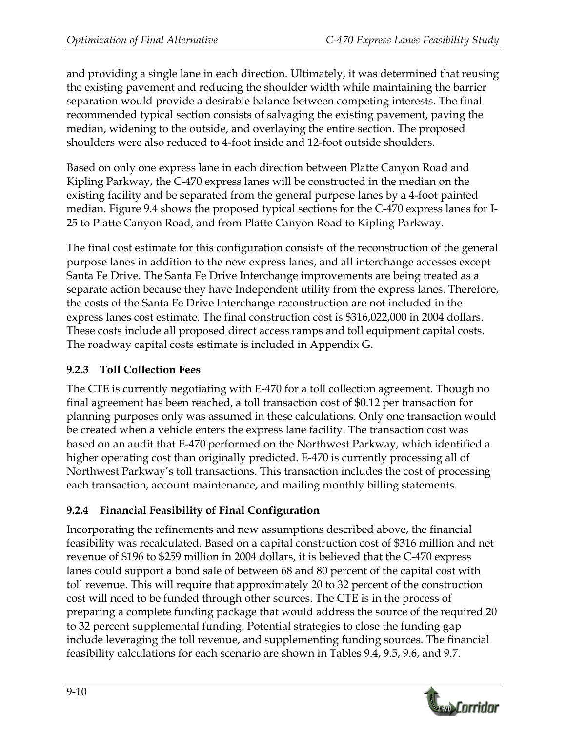and providing a single lane in each direction. Ultimately, it was determined that reusing the existing pavement and reducing the shoulder width while maintaining the barrier separation would provide a desirable balance between competing interests. The final recommended typical section consists of salvaging the existing pavement, paving the median, widening to the outside, and overlaying the entire section. The proposed shoulders were also reduced to 4-foot inside and 12-foot outside shoulders.

Based on only one express lane in each direction between Platte Canyon Road and Kipling Parkway, the C-470 express lanes will be constructed in the median on the existing facility and be separated from the general purpose lanes by a 4-foot painted median. Figure 9.4 shows the proposed typical sections for the C-470 express lanes for I-25 to Platte Canyon Road, and from Platte Canyon Road to Kipling Parkway.

The final cost estimate for this configuration consists of the reconstruction of the general purpose lanes in addition to the new express lanes, and all interchange accesses except Santa Fe Drive. The Santa Fe Drive Interchange improvements are being treated as a separate action because they have Independent utility from the express lanes. Therefore, the costs of the Santa Fe Drive Interchange reconstruction are not included in the express lanes cost estimate. The final construction cost is \$316,022,000 in 2004 dollars. These costs include all proposed direct access ramps and toll equipment capital costs. The roadway capital costs estimate is included in Appendix G.

#### **9.2.3 Toll Collection Fees**

The CTE is currently negotiating with E-470 for a toll collection agreement. Though no final agreement has been reached, a toll transaction cost of \$0.12 per transaction for planning purposes only was assumed in these calculations. Only one transaction would be created when a vehicle enters the express lane facility. The transaction cost was based on an audit that E-470 performed on the Northwest Parkway, which identified a higher operating cost than originally predicted. E-470 is currently processing all of Northwest Parkway's toll transactions. This transaction includes the cost of processing each transaction, account maintenance, and mailing monthly billing statements.

## **9.2.4 Financial Feasibility of Final Configuration**

Incorporating the refinements and new assumptions described above, the financial feasibility was recalculated. Based on a capital construction cost of \$316 million and net revenue of \$196 to \$259 million in 2004 dollars, it is believed that the C-470 express lanes could support a bond sale of between 68 and 80 percent of the capital cost with toll revenue. This will require that approximately 20 to 32 percent of the construction cost will need to be funded through other sources. The CTE is in the process of preparing a complete funding package that would address the source of the required 20 to 32 percent supplemental funding. Potential strategies to close the funding gap include leveraging the toll revenue, and supplementing funding sources. The financial feasibility calculations for each scenario are shown in Tables 9.4, 9.5, 9.6, and 9.7.

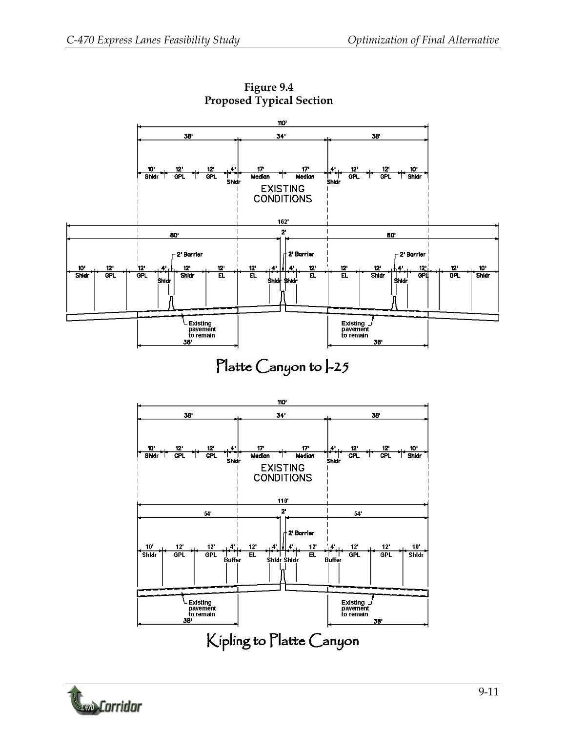

**Figure 9.4 Proposed Typical Section** 

Platte Canyon to -25

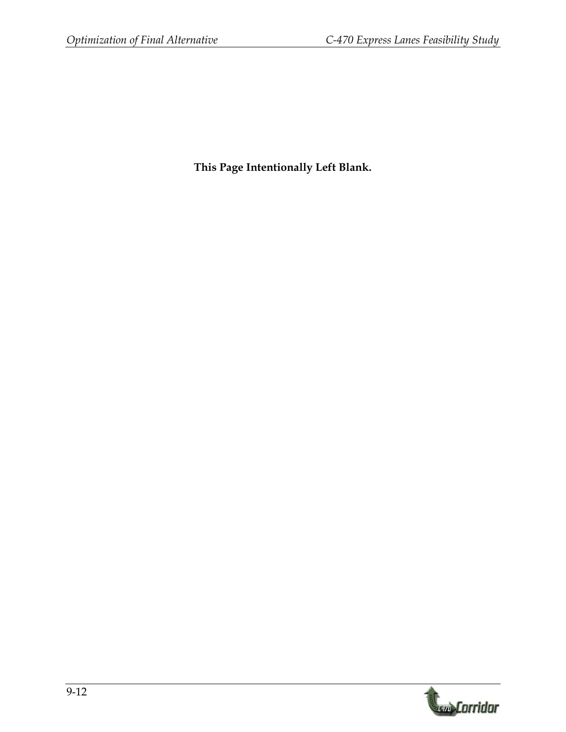**This Page Intentionally Left Blank.** 

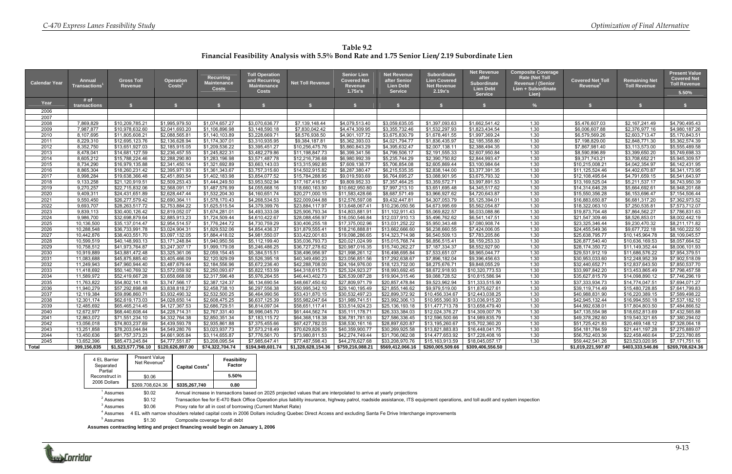**Table 9.2 Financial Feasibility Analysis with 5.5% Bond Rate and 1.75 Senior Lien/ 2.19 Subordinate Lien** 

| <b>Service</b><br>Lien)<br># of<br>Year<br>transactions<br>$\mathbf{S}$<br>$\hat{\mathbf{r}}$<br>$\mathbf{s}$<br>$\frac{9}{6}$<br>$\mathbf{r}$<br>$\mathbf{s}$<br>$\mathbf{f}$<br>2006<br>2007<br>2008<br>\$4,790,495.43<br>7,869,829<br>\$10,209,785.21<br>\$1,995,979.50<br>\$1,074,657.27<br>\$3,070,636.77<br>\$7,139,148.44<br>\$4,079,513.40<br>\$3,059,635.05<br>\$1,397,093.63<br>\$1,662,541.42<br>1.30<br>\$5,476,607.03<br>\$2,167,241.49<br>7,987,877<br>\$10,978,632.60<br>\$2,041,693.20<br>\$3,148,590.18<br>\$4,474,309.95<br>\$3,355,732.46<br>\$1,532,297.93<br>\$1,823,434.54<br>1.30<br>\$2,376,977.16<br>\$4,980,187.26<br>2009<br>\$1,106,896.98<br>\$7,830,042.42<br>\$6,006,607.88<br>2010<br>3,228,669.71<br>\$4,901,107.72<br>\$1,678,461.55<br>\$1,997,369.24<br>1.30<br>$\overline{$5,170,843.51}$<br>8,107,695<br>\$11,805,608.21<br>\$2,088,565.81<br>\$1,140,103.89<br>\$8,576,938.50<br>\$3,675,830.79<br>\$6,579,569.26<br>\$2.603.713.47<br>2011<br>\$12,695,123.76<br>\$5,362,393.03<br>\$1,836,435.97<br>1.30<br>\$5,362,574.39<br>8,229,310<br>\$2,136,628.94<br>\$1,174,307.01<br>\$3,310,935.95<br>\$9,384,187.81<br>\$4,021,794.77<br>\$2,185,358.80<br>\$7,198,829.00<br>\$2,848,771.30<br>2012<br>8,352,750<br>\$13,651,927.03<br>\$1,209,536.22<br>\$3,395,451.27<br>\$10,256,475.76<br>\$5,860,843.29<br>\$4,395,632.47<br>\$2,007,138.11<br>\$2,388,494.35<br>1.30<br>$\overline{$7,867,981.40}$<br>\$3,113,573.00<br>\$5,555,489.58<br>\$2,185,915.05<br>2013<br>8,478,041<br>\$14,681,127.59<br>\$2,236,457.55<br>\$1,245,822.31<br>\$3,482,279.86<br>\$11,198,847.73<br>\$6,399,341.56<br>\$4,799,506.17<br>\$2,191,555.33<br>\$2,607,950.84<br>1.30<br>\$5,749,698.33<br>\$8,590,896.89<br>\$3,399,650.20<br>2014<br>8,605,212<br>\$15,788,224.46<br>\$2,288,290.80<br>\$1,283,196.98<br>\$3,571,487.78<br>\$12,216,736.68<br>\$6,980,992.39<br>\$5,235,744.29<br>\$2,390,750.82<br>\$2,844,993.47<br>1.30<br>\$3,708,652.21<br>\$5,945,309.57<br>\$9,371,743.21<br>2015<br>1.30<br>8,734,290<br>\$16,979,135.88<br>\$2,341,450.14<br>\$1,321,692.89<br>\$3,663,143.03<br>\$13,315,992.85<br>\$7,609,138.77<br>\$5,706,854.08<br>\$2,605,869.44<br>\$3,100,984.64<br>$\overline{$10,215,008.21}$<br>\$4,042,354.97<br>\$6,142,431.95<br>1.30<br>2016<br>8,865,304<br>\$4,402,670.87<br>\$18,260,231.42<br>\$2,395,971.93<br>\$1,361,343.67<br>\$3,757,315.60<br>\$14,502,915.82<br>\$8,287,380.47<br>\$6,215,535.35<br>\$2,838,144.00<br>\$3,377,391.35<br>\$11,125,524.46<br>\$6,341,173.95<br>2017<br>\$9,019,593.69<br>1.30<br>\$6,541,643.97<br>8,998,284<br>\$19,638,366.48<br>\$2,451,893.54<br>\$1,402,183.98<br>\$3,854,077.52<br>\$15,784,288.95<br>\$6,764,695.27<br>\$3,088,901.95<br>\$3,675,793.32<br>\$12,108,495.64<br>\$4,791,659.15<br>\$3,359,572.71<br>2018<br>9,133,258<br>\$21,120,919.51<br>\$2,509,253.43<br>\$1,444,249.50<br>\$3,953,502.94<br>\$17,167,416.57<br>\$9,809,952.33<br>\$7,357,464.25<br>\$3,997,891.53<br>1.30<br>\$13,169,525.04<br>\$5,211,537.17<br>\$6,743,950.39<br>2019<br>9,270,257<br>\$3,651,695.48<br>\$4,345,517.62<br>\$22,715,832.06<br>\$2,568,091.17<br>\$1,487,576.99<br>\$4,055,668.16<br>\$18,660,163.90<br>\$10,662,950.80<br>\$7,997,213.10<br>1.30<br>\$14,314,646.28<br>\$5,664,692.6<br>2020<br>9,409,31<br>\$24,431,651.89<br>\$2,628,447.44<br>\$1,532,204.30<br>\$4,160,651.74<br>\$20,271,000.15<br>\$11,583,428.66<br>\$8,687,571.49<br>\$3,966,927.62<br>\$4,720,643.87<br>1.30<br>\$15,550,356.28<br>\$6,153,696.47<br>2021<br>\$7,362,973.52<br>9,550,450<br>\$26,277,579.42<br>\$2,690,364.11<br>\$1,578,170.43<br>\$4,268,534.53<br>\$22.009.044.88<br>\$12.576.597.08<br>\$9,432,447.81<br>\$4,307,053.79<br>\$5,125,394.01<br>1.30<br>\$16,883,650.87<br>\$6.681.317.20<br>2022<br>9,693,707<br>\$28,263,517.72<br>\$1,625,515.54<br>\$10,236,050.56<br>\$4,673,995.69<br>\$5,562,054.87<br>1.30<br>\$7,573,712.07<br>\$2,753,884.22<br>\$4,379,399.76<br>\$23,884,117.97<br>\$13,648,067.41<br>\$18,322,063.10<br>\$7,250,535.8<br>2023<br>\$2,819,052.07<br>\$25,906,793.34<br>\$5,069,822.57<br>\$6,033,088.86<br>1.30<br>\$7,864,562.27<br>9,839,113<br>\$30,400,126.42<br>\$1,674,281.01<br>\$4,493,333.08<br>\$14,803,881.91<br>\$11,102,911.43<br>\$19,873,704.48<br>\$7,786,831.63<br>2024<br>$\sqrt{4,610,422.67}$<br>\$16,050,546.84<br>\$5,496,762.62<br>1.30<br>9,986,700<br>\$32,698,879.64<br>\$2,885,913.23<br>\$1,724,509.44<br>\$28,088,456.97<br>\$12,037,910.13<br>\$6,541,147.51<br>\$21,547,309.46<br>\$8,526,853.0<br>\$8,002,442.19<br>2025<br>\$13,031,252.22<br>1.30<br>10,136,500<br>\$35,137,014.47<br>\$2,954,514.57<br>\$1,776,244.72<br>\$4,730,759.29<br>\$30,406,255.18<br>\$17,375,002.96<br>\$5,950,343.48<br>\$7,080,908.74<br>\$23,325,346.44<br>\$9,230,470.32<br>\$8,211,171.82<br>2026<br>1.30<br>10,288,548<br>\$36,733,991.78<br>\$3,024,904.31<br>\$1,829,532.06<br>\$4,854,436.37<br>\$31,879,555.41<br>\$18,216,888.81<br>\$13,662,666.60<br>\$6,238,660.55<br>\$7,424,006.05<br>\$24,455,549.36<br>\$9,677,722.18<br>\$8,160,222.50<br>2027<br>10,442,876<br>\$38,403,551.70<br>\$3,097,132.05<br>\$4,981,550.07<br>\$14,323,714.98<br>\$6,540,509.13<br>\$7,783,205.86<br>1.30<br>\$10,145,964.78<br>\$8,109,045.57<br>\$1,884,418.02<br>\$33,422,001.63<br>\$19,098,286.65<br>\$25,638,795.77<br>2028<br>$\overline{5,112,199.40}$<br>\$6,856,515.41<br>\$8,159,253.33<br>1.30<br>\$8,057,664.52<br>10,599,519<br>\$40,148,993.13<br>\$3,171,248.84<br>\$1,940,950.56<br>\$35,036,793.73<br>\$20,021,024.99<br>\$15,015,768.74<br>\$26,877,540.40<br>\$10,636,169.53<br>2029<br>10,758,512<br>\$41,973,764.87<br>\$3,247,307.17<br>\$1,999,179.08<br>\$5,246,486.25<br>\$36,727,278.62<br>\$20,987,016.35<br>\$15,740,262.27<br>\$7,187,334.37<br>\$8,552,927.90<br>1.30<br>\$28,174,350.72<br>\$11,149,352.44<br>\$8,006,101.93<br>2030<br>$\overline{$7,533,651.07}$<br>1.30<br>\$7,954,379.51<br>10,919,889<br>\$43,881,472.48<br>\$3,325,361.06<br>\$2,059,154.45<br>\$5,384,515.51<br>\$38,496,956.97<br>\$21.998.261.12<br>\$16,498,695.84<br>\$8,965,044.77<br>\$29,531,912.19<br>\$11,686,576.22<br>2031<br>\$45,875,885.40<br>\$7,896,182.04<br>1.30<br>\$12,248,952.39<br>11,083,688<br>\$3,405,466.09<br>\$2,120,929.09<br>\$5,526,395.18<br>\$40,349,490.23<br>\$23,056,851.56<br>\$17,292,638.67<br>\$9,396,456.63<br>\$30,953,033.60<br>\$7,902,518.09<br>2032<br>11,249,943<br>\$47.960.944.40<br>\$3.487.679.44<br>\$2.184.556.96<br>\$5.672.236.40<br>\$42.288.708.00<br>\$24.164.976.00<br>\$18.123.732.00<br>\$8.275.676.71<br>\$9.848.055.29<br>1.30<br>\$32.440.652.71<br>\$12.837.643.50<br>2033<br>\$3,572,059.92<br>\$5,822,153.59<br>\$25,324,923.27<br>\$18,993,692.45<br>\$8,672,918.93<br>\$10,320,773.53<br>1.30<br>\$7,798,457.58<br>11,418,692<br>\$50,140,769.32<br>\$2,250,093.67<br>\$44,318,615.73<br>\$33,997,842.20<br>\$13,453,865.49<br>1.30<br>2034<br>11,589,972<br>\$3,658,668.08<br>\$2,317,596.48<br>\$5,976,264.55<br>\$26,539,087.28<br>\$19,904,315.46<br>\$9,088,728.52<br>\$10,815,586.94<br>\$35,627,815.79<br>\$14,098,890.12<br>\$52,419,667.28<br>\$46,443,402.73<br>2035<br>\$2,387,124.37<br>\$9,523,962.94<br>\$11,333,515.90<br>1.30<br>11,763,822<br>\$54,802,141.16<br>\$3,747,566.17<br>\$6,134,690.54<br>\$48,667,450.62<br>\$27,809,971.79<br>\$20,857,478.84<br>\$37,333,934.73<br>\$14,774,047.51<br>2036<br>11,940,279<br>\$57,292,898.48<br>\$3,838,818.27<br>\$2,458,738.10<br>\$6,297,556.38<br>\$50,995,342.10<br>\$29,140,195.49<br>\$21,855,146.62<br>\$9,979,519.00<br>1.30<br>\$15,480,728.85<br>\$7,641,799.83<br>\$11,875,627.61<br>\$39,119,714.49<br>2037<br>\$30,532,497.23<br>\$22,899,372.92<br>\$12,443,038.25<br>1.30<br>\$16,220,389.15<br>\$7,589,498.22<br>12,119,384<br>\$59,896,860.71<br>\$3,932,490.32<br>\$2,532,500.25<br>\$6,464,990.56<br>\$53,431,870.15<br>\$10,456,334.67<br>\$40,988,831.90<br>2038<br>\$62,619,173.03<br>\$4,028,650.14<br>\$2,608,475.25<br>\$6,637,125.39<br>\$55,982,047.64<br>\$31,989,741.51<br>\$23,992,306.13<br>\$10,955,390.93<br>\$13,036,915.20<br>1.30<br>\$42,945,132.44<br>\$16,994,550.18<br>\$7,537,182.10<br>12,301,174<br>2039<br>12,485,692<br>\$65,465,214.45<br>\$4,127,367.53<br>\$2,686,729.51<br>$\overline{$6,814,097.04}$<br>\$58,651,117.41<br>\$33,514,924.23<br>\$25,136,193.18<br>\$11,477,713.78<br>\$13,658,479.40<br>1.30<br>\$44,992,638.01<br>\$17,804,803.50<br>\$7,484,866.52<br>2040<br>\$68,440,608.44<br>\$4,228,714.31<br>\$61,444,562.74<br>\$35,111,178.71<br>\$26,333,384.03<br>\$12,024,376.27<br>1.30<br>\$47,135,554.98<br>\$18,652,813.69<br>\$7,432,565.88<br>12,672,977<br>\$2,767,331.40<br>\$6,996,045.70<br>\$14,309,007.76<br>2041<br>12,863,072<br>\$71,551,234.10<br>\$4.332.764.38<br>\$2.850.351.34<br>\$7.183.115.72<br>\$64.368.118.38<br>\$36.781.781.93<br>\$27,586,336.45<br>\$12,596,500.66<br>\$14.989.835.79<br>1.30<br>\$49,378,282.60<br>\$19.540.321.65<br>$\sqrt{$7,380,294.02}$<br>2042<br>\$74,803,237.69<br>\$4,439,593.78<br>\$67,427,782.03<br>\$13,195,260.67<br>1.30<br>\$20,469,148.12<br>\$7,328,064.18<br>13,056,018<br>\$2,935,861.88<br>\$7,375,455.66<br>\$38,530,161.16<br>\$28,897,620.87<br>\$15,702,360.20<br>\$51,725,421.83<br>2043<br>13,251,858<br>\$78,203,044.84<br>\$4,549,280.76<br>\$3,023,937.73<br>\$7,573,218.49<br>\$70,629,826.35<br>\$40,359,900.77<br>\$30,269,925.58<br>\$13,821,883.83<br>\$16,448,041.75<br>1.30<br>\$54,181,784.59<br>\$21,441,197.28<br>\$7,275,889.07<br>2044<br>13,450,636<br>\$81,757,373.23<br>\$4,661,905.84<br>\$3,114,655.87<br>\$7,776,561.70<br>\$73,980,811.53<br>\$42,274,749.44<br>\$31,706,062.08<br>\$14,477,653.92<br>\$17,228,408.16<br>1.30<br>\$56,752,403.36<br>\$22,458,460.64<br>\$7,223,780.85 | <b>Calendar Year</b> | <b>Annual</b><br><b>Transactions</b> | <b>Gross Toll</b><br><b>Revenue</b> | <b>Operation</b><br>$\textsf{Costs}^2$ | <b>Recurring</b><br>Maintenance<br><b>Costs</b> | <b>Toll Operation</b><br>and Recurring<br><b>Maintenance</b> | <b>Net Toll Revenue</b> | <b>Senior Lien</b><br><b>Covered Net</b><br><b>Revenue</b> | <b>Net Revenue</b><br>after Senior<br><b>Lien Debt</b> | <b>Subordinate</b><br><b>Lien Covered</b><br><b>Net Revenue</b> | <b>Net Revenue</b><br>after<br><b>Subordinate</b><br><b>Lien Debt</b> | <b>Composite Coverage</b><br><b>Rate (Net Toll</b><br>Revenue / (Senior<br>Lien + Subordinate | <b>Covered Net Toll</b><br>Revenue <sup>3</sup> | <b>Remaining Net</b><br><b>Toll Revenue</b> | <b>Present Value</b><br><b>Covered Net</b><br><b>Toll Revenue</b> |
|----------------------------------------------------------------------------------------------------------------------------------------------------------------------------------------------------------------------------------------------------------------------------------------------------------------------------------------------------------------------------------------------------------------------------------------------------------------------------------------------------------------------------------------------------------------------------------------------------------------------------------------------------------------------------------------------------------------------------------------------------------------------------------------------------------------------------------------------------------------------------------------------------------------------------------------------------------------------------------------------------------------------------------------------------------------------------------------------------------------------------------------------------------------------------------------------------------------------------------------------------------------------------------------------------------------------------------------------------------------------------------------------------------------------------------------------------------------------------------------------------------------------------------------------------------------------------------------------------------------------------------------------------------------------------------------------------------------------------------------------------------------------------------------------------------------------------------------------------------------------------------------------------------------------------------------------------------------------------------------------------------------------------------------------------------------------------------------------------------------------------------------------------------------------------------------------------------------------------------------------------------------------------------------------------------------------------------------------------------------------------------------------------------------------------------------------------------------------------------------------------------------------------------------------------------------------------------------------------------------------------------------------------------------------------------------------------------------------------------------------------------------------------------------------------------------------------------------------------------------------------------------------------------------------------------------------------------------------------------------------------------------------------------------------------------------------------------------------------------------------------------------------------------------------------------------------------------------------------------------------------------------------------------------------------------------------------------------------------------------------------------------------------------------------------------------------------------------------------------------------------------------------------------------------------------------------------------------------------------------------------------------------------------------------------------------------------------------------------------------------------------------------------------------------------------------------------------------------------------------------------------------------------------------------------------------------------------------------------------------------------------------------------------------------------------------------------------------------------------------------------------------------------------------------------------------------------------------------------------------------------------------------------------------------------------------------------------------------------------------------------------------------------------------------------------------------------------------------------------------------------------------------------------------------------------------------------------------------------------------------------------------------------------------------------------------------------------------------------------------------------------------------------------------------------------------------------------------------------------------------------------------------------------------------------------------------------------------------------------------------------------------------------------------------------------------------------------------------------------------------------------------------------------------------------------------------------------------------------------------------------------------------------------------------------------------------------------------------------------------------------------------------------------------------------------------------------------------------------------------------------------------------------------------------------------------------------------------------------------------------------------------------------------------------------------------------------------------------------------------------------------------------------------------------------------------------------------------------------------------------------------------------------------------------------------------------------------------------------------------------------------------------------------------------------------------------------------------------------------------------------------------------------------------------------------------------------------------------------------------------------------------------------------------------------------------------------------------------------------------------------------------------------------------------------------------------------------------------------------------------------------------------------------------------------------------------------------------------------------------------------------------------------------------------------------------------------------------------------------------------------------------------------------------------------------------------------------------------------------------------------------------------------------------------------------------------------------------------------------------------------------------------------------------------------------------------------------------------------------------------------------------------------------------------------------------------------------------------------------------------------------------------------------------------------------------------------------------------------------------------------------------------------------------------------------------------------------------------------------------------------------------------------------------------------------------------------------------------------------------------------------------------------------------------------------------------------------------------------------------------------------------------------------------------------------------------------------------------------------------------------------------------------------------------------------------------------------------------------------------------------------------------------------------------------------------------------------------------------------------------------------------------------------------------------------------------------------------------------------------------------------------------------------------------------------------------------------------------------------------------------------------------------------------------------------------------------------------------------------------------------------------------------------------------------------------------------------------------------------------------------------------------------------------------------------------------------------------------------------------------------------------------------------------------------------------------------------------------------------------------------------------------------------------------------------------------------------------------------------------------------------------------------------------------------------------------------------------------------------------------------------------------------------------------------------------------------------------------------------------------------------------------------------------------------------------------------------------------------------------------------------------------------------------------------------------------------------------------------------------------------------------------------------------------------------------------------------------------------------------------------------------------------------------------------------------------------------------------------------------------------------------------------------------------------------------------------------------------|----------------------|--------------------------------------|-------------------------------------|----------------------------------------|-------------------------------------------------|--------------------------------------------------------------|-------------------------|------------------------------------------------------------|--------------------------------------------------------|-----------------------------------------------------------------|-----------------------------------------------------------------------|-----------------------------------------------------------------------------------------------|-------------------------------------------------|---------------------------------------------|-------------------------------------------------------------------|
|                                                                                                                                                                                                                                                                                                                                                                                                                                                                                                                                                                                                                                                                                                                                                                                                                                                                                                                                                                                                                                                                                                                                                                                                                                                                                                                                                                                                                                                                                                                                                                                                                                                                                                                                                                                                                                                                                                                                                                                                                                                                                                                                                                                                                                                                                                                                                                                                                                                                                                                                                                                                                                                                                                                                                                                                                                                                                                                                                                                                                                                                                                                                                                                                                                                                                                                                                                                                                                                                                                                                                                                                                                                                                                                                                                                                                                                                                                                                                                                                                                                                                                                                                                                                                                                                                                                                                                                                                                                                                                                                                                                                                                                                                                                                                                                                                                                                                                                                                                                                                                                                                                                                                                                                                                                                                                                                                                                                                                                                                                                                                                                                                                                                                                                                                                                                                                                                                                                                                                                                                                                                                                                                                                                                                                                                                                                                                                                                                                                                                                                                                                                                                                                                                                                                                                                                                                                                                                                                                                                                                                                                                                                                                                                                                                                                                                                                                                                                                                                                                                                                                                                                                                                                                                                                                                                                                                                                                                                                                                                                                                                                                                                                                                                                                                                                                                                                                                                                                                                                                                                                                                                                                                                                                                                                                                                                                                                                                                                                                                                                                                                                                                                                                                                                                                                                                                                                                                                                                                                                                                                                                                                                                                                                                                                                                                                                                                              |                      |                                      |                                     |                                        |                                                 | <b>Costs</b>                                                 |                         | 1.75x's                                                    | <b>Service</b>                                         | 2.19x's                                                         |                                                                       |                                                                                               |                                                 |                                             | 5.50%                                                             |
|                                                                                                                                                                                                                                                                                                                                                                                                                                                                                                                                                                                                                                                                                                                                                                                                                                                                                                                                                                                                                                                                                                                                                                                                                                                                                                                                                                                                                                                                                                                                                                                                                                                                                                                                                                                                                                                                                                                                                                                                                                                                                                                                                                                                                                                                                                                                                                                                                                                                                                                                                                                                                                                                                                                                                                                                                                                                                                                                                                                                                                                                                                                                                                                                                                                                                                                                                                                                                                                                                                                                                                                                                                                                                                                                                                                                                                                                                                                                                                                                                                                                                                                                                                                                                                                                                                                                                                                                                                                                                                                                                                                                                                                                                                                                                                                                                                                                                                                                                                                                                                                                                                                                                                                                                                                                                                                                                                                                                                                                                                                                                                                                                                                                                                                                                                                                                                                                                                                                                                                                                                                                                                                                                                                                                                                                                                                                                                                                                                                                                                                                                                                                                                                                                                                                                                                                                                                                                                                                                                                                                                                                                                                                                                                                                                                                                                                                                                                                                                                                                                                                                                                                                                                                                                                                                                                                                                                                                                                                                                                                                                                                                                                                                                                                                                                                                                                                                                                                                                                                                                                                                                                                                                                                                                                                                                                                                                                                                                                                                                                                                                                                                                                                                                                                                                                                                                                                                                                                                                                                                                                                                                                                                                                                                                                                                                                                                                              |                      |                                      |                                     |                                        |                                                 |                                                              |                         |                                                            |                                                        |                                                                 |                                                                       |                                                                                               |                                                 |                                             |                                                                   |
|                                                                                                                                                                                                                                                                                                                                                                                                                                                                                                                                                                                                                                                                                                                                                                                                                                                                                                                                                                                                                                                                                                                                                                                                                                                                                                                                                                                                                                                                                                                                                                                                                                                                                                                                                                                                                                                                                                                                                                                                                                                                                                                                                                                                                                                                                                                                                                                                                                                                                                                                                                                                                                                                                                                                                                                                                                                                                                                                                                                                                                                                                                                                                                                                                                                                                                                                                                                                                                                                                                                                                                                                                                                                                                                                                                                                                                                                                                                                                                                                                                                                                                                                                                                                                                                                                                                                                                                                                                                                                                                                                                                                                                                                                                                                                                                                                                                                                                                                                                                                                                                                                                                                                                                                                                                                                                                                                                                                                                                                                                                                                                                                                                                                                                                                                                                                                                                                                                                                                                                                                                                                                                                                                                                                                                                                                                                                                                                                                                                                                                                                                                                                                                                                                                                                                                                                                                                                                                                                                                                                                                                                                                                                                                                                                                                                                                                                                                                                                                                                                                                                                                                                                                                                                                                                                                                                                                                                                                                                                                                                                                                                                                                                                                                                                                                                                                                                                                                                                                                                                                                                                                                                                                                                                                                                                                                                                                                                                                                                                                                                                                                                                                                                                                                                                                                                                                                                                                                                                                                                                                                                                                                                                                                                                                                                                                                                                                              |                      |                                      |                                     |                                        |                                                 |                                                              |                         |                                                            |                                                        |                                                                 |                                                                       |                                                                                               |                                                 |                                             |                                                                   |
|                                                                                                                                                                                                                                                                                                                                                                                                                                                                                                                                                                                                                                                                                                                                                                                                                                                                                                                                                                                                                                                                                                                                                                                                                                                                                                                                                                                                                                                                                                                                                                                                                                                                                                                                                                                                                                                                                                                                                                                                                                                                                                                                                                                                                                                                                                                                                                                                                                                                                                                                                                                                                                                                                                                                                                                                                                                                                                                                                                                                                                                                                                                                                                                                                                                                                                                                                                                                                                                                                                                                                                                                                                                                                                                                                                                                                                                                                                                                                                                                                                                                                                                                                                                                                                                                                                                                                                                                                                                                                                                                                                                                                                                                                                                                                                                                                                                                                                                                                                                                                                                                                                                                                                                                                                                                                                                                                                                                                                                                                                                                                                                                                                                                                                                                                                                                                                                                                                                                                                                                                                                                                                                                                                                                                                                                                                                                                                                                                                                                                                                                                                                                                                                                                                                                                                                                                                                                                                                                                                                                                                                                                                                                                                                                                                                                                                                                                                                                                                                                                                                                                                                                                                                                                                                                                                                                                                                                                                                                                                                                                                                                                                                                                                                                                                                                                                                                                                                                                                                                                                                                                                                                                                                                                                                                                                                                                                                                                                                                                                                                                                                                                                                                                                                                                                                                                                                                                                                                                                                                                                                                                                                                                                                                                                                                                                                                                                              |                      |                                      |                                     |                                        |                                                 |                                                              |                         |                                                            |                                                        |                                                                 |                                                                       |                                                                                               |                                                 |                                             |                                                                   |
|                                                                                                                                                                                                                                                                                                                                                                                                                                                                                                                                                                                                                                                                                                                                                                                                                                                                                                                                                                                                                                                                                                                                                                                                                                                                                                                                                                                                                                                                                                                                                                                                                                                                                                                                                                                                                                                                                                                                                                                                                                                                                                                                                                                                                                                                                                                                                                                                                                                                                                                                                                                                                                                                                                                                                                                                                                                                                                                                                                                                                                                                                                                                                                                                                                                                                                                                                                                                                                                                                                                                                                                                                                                                                                                                                                                                                                                                                                                                                                                                                                                                                                                                                                                                                                                                                                                                                                                                                                                                                                                                                                                                                                                                                                                                                                                                                                                                                                                                                                                                                                                                                                                                                                                                                                                                                                                                                                                                                                                                                                                                                                                                                                                                                                                                                                                                                                                                                                                                                                                                                                                                                                                                                                                                                                                                                                                                                                                                                                                                                                                                                                                                                                                                                                                                                                                                                                                                                                                                                                                                                                                                                                                                                                                                                                                                                                                                                                                                                                                                                                                                                                                                                                                                                                                                                                                                                                                                                                                                                                                                                                                                                                                                                                                                                                                                                                                                                                                                                                                                                                                                                                                                                                                                                                                                                                                                                                                                                                                                                                                                                                                                                                                                                                                                                                                                                                                                                                                                                                                                                                                                                                                                                                                                                                                                                                                                                                              |                      |                                      |                                     |                                        |                                                 |                                                              |                         |                                                            |                                                        |                                                                 |                                                                       |                                                                                               |                                                 |                                             |                                                                   |
|                                                                                                                                                                                                                                                                                                                                                                                                                                                                                                                                                                                                                                                                                                                                                                                                                                                                                                                                                                                                                                                                                                                                                                                                                                                                                                                                                                                                                                                                                                                                                                                                                                                                                                                                                                                                                                                                                                                                                                                                                                                                                                                                                                                                                                                                                                                                                                                                                                                                                                                                                                                                                                                                                                                                                                                                                                                                                                                                                                                                                                                                                                                                                                                                                                                                                                                                                                                                                                                                                                                                                                                                                                                                                                                                                                                                                                                                                                                                                                                                                                                                                                                                                                                                                                                                                                                                                                                                                                                                                                                                                                                                                                                                                                                                                                                                                                                                                                                                                                                                                                                                                                                                                                                                                                                                                                                                                                                                                                                                                                                                                                                                                                                                                                                                                                                                                                                                                                                                                                                                                                                                                                                                                                                                                                                                                                                                                                                                                                                                                                                                                                                                                                                                                                                                                                                                                                                                                                                                                                                                                                                                                                                                                                                                                                                                                                                                                                                                                                                                                                                                                                                                                                                                                                                                                                                                                                                                                                                                                                                                                                                                                                                                                                                                                                                                                                                                                                                                                                                                                                                                                                                                                                                                                                                                                                                                                                                                                                                                                                                                                                                                                                                                                                                                                                                                                                                                                                                                                                                                                                                                                                                                                                                                                                                                                                                                                                              |                      |                                      |                                     |                                        |                                                 |                                                              |                         |                                                            |                                                        |                                                                 |                                                                       |                                                                                               |                                                 |                                             |                                                                   |
|                                                                                                                                                                                                                                                                                                                                                                                                                                                                                                                                                                                                                                                                                                                                                                                                                                                                                                                                                                                                                                                                                                                                                                                                                                                                                                                                                                                                                                                                                                                                                                                                                                                                                                                                                                                                                                                                                                                                                                                                                                                                                                                                                                                                                                                                                                                                                                                                                                                                                                                                                                                                                                                                                                                                                                                                                                                                                                                                                                                                                                                                                                                                                                                                                                                                                                                                                                                                                                                                                                                                                                                                                                                                                                                                                                                                                                                                                                                                                                                                                                                                                                                                                                                                                                                                                                                                                                                                                                                                                                                                                                                                                                                                                                                                                                                                                                                                                                                                                                                                                                                                                                                                                                                                                                                                                                                                                                                                                                                                                                                                                                                                                                                                                                                                                                                                                                                                                                                                                                                                                                                                                                                                                                                                                                                                                                                                                                                                                                                                                                                                                                                                                                                                                                                                                                                                                                                                                                                                                                                                                                                                                                                                                                                                                                                                                                                                                                                                                                                                                                                                                                                                                                                                                                                                                                                                                                                                                                                                                                                                                                                                                                                                                                                                                                                                                                                                                                                                                                                                                                                                                                                                                                                                                                                                                                                                                                                                                                                                                                                                                                                                                                                                                                                                                                                                                                                                                                                                                                                                                                                                                                                                                                                                                                                                                                                                                                              |                      |                                      |                                     |                                        |                                                 |                                                              |                         |                                                            |                                                        |                                                                 |                                                                       |                                                                                               |                                                 |                                             |                                                                   |
|                                                                                                                                                                                                                                                                                                                                                                                                                                                                                                                                                                                                                                                                                                                                                                                                                                                                                                                                                                                                                                                                                                                                                                                                                                                                                                                                                                                                                                                                                                                                                                                                                                                                                                                                                                                                                                                                                                                                                                                                                                                                                                                                                                                                                                                                                                                                                                                                                                                                                                                                                                                                                                                                                                                                                                                                                                                                                                                                                                                                                                                                                                                                                                                                                                                                                                                                                                                                                                                                                                                                                                                                                                                                                                                                                                                                                                                                                                                                                                                                                                                                                                                                                                                                                                                                                                                                                                                                                                                                                                                                                                                                                                                                                                                                                                                                                                                                                                                                                                                                                                                                                                                                                                                                                                                                                                                                                                                                                                                                                                                                                                                                                                                                                                                                                                                                                                                                                                                                                                                                                                                                                                                                                                                                                                                                                                                                                                                                                                                                                                                                                                                                                                                                                                                                                                                                                                                                                                                                                                                                                                                                                                                                                                                                                                                                                                                                                                                                                                                                                                                                                                                                                                                                                                                                                                                                                                                                                                                                                                                                                                                                                                                                                                                                                                                                                                                                                                                                                                                                                                                                                                                                                                                                                                                                                                                                                                                                                                                                                                                                                                                                                                                                                                                                                                                                                                                                                                                                                                                                                                                                                                                                                                                                                                                                                                                                                                              |                      |                                      |                                     |                                        |                                                 |                                                              |                         |                                                            |                                                        |                                                                 |                                                                       |                                                                                               |                                                 |                                             |                                                                   |
|                                                                                                                                                                                                                                                                                                                                                                                                                                                                                                                                                                                                                                                                                                                                                                                                                                                                                                                                                                                                                                                                                                                                                                                                                                                                                                                                                                                                                                                                                                                                                                                                                                                                                                                                                                                                                                                                                                                                                                                                                                                                                                                                                                                                                                                                                                                                                                                                                                                                                                                                                                                                                                                                                                                                                                                                                                                                                                                                                                                                                                                                                                                                                                                                                                                                                                                                                                                                                                                                                                                                                                                                                                                                                                                                                                                                                                                                                                                                                                                                                                                                                                                                                                                                                                                                                                                                                                                                                                                                                                                                                                                                                                                                                                                                                                                                                                                                                                                                                                                                                                                                                                                                                                                                                                                                                                                                                                                                                                                                                                                                                                                                                                                                                                                                                                                                                                                                                                                                                                                                                                                                                                                                                                                                                                                                                                                                                                                                                                                                                                                                                                                                                                                                                                                                                                                                                                                                                                                                                                                                                                                                                                                                                                                                                                                                                                                                                                                                                                                                                                                                                                                                                                                                                                                                                                                                                                                                                                                                                                                                                                                                                                                                                                                                                                                                                                                                                                                                                                                                                                                                                                                                                                                                                                                                                                                                                                                                                                                                                                                                                                                                                                                                                                                                                                                                                                                                                                                                                                                                                                                                                                                                                                                                                                                                                                                                                                              |                      |                                      |                                     |                                        |                                                 |                                                              |                         |                                                            |                                                        |                                                                 |                                                                       |                                                                                               |                                                 |                                             |                                                                   |
|                                                                                                                                                                                                                                                                                                                                                                                                                                                                                                                                                                                                                                                                                                                                                                                                                                                                                                                                                                                                                                                                                                                                                                                                                                                                                                                                                                                                                                                                                                                                                                                                                                                                                                                                                                                                                                                                                                                                                                                                                                                                                                                                                                                                                                                                                                                                                                                                                                                                                                                                                                                                                                                                                                                                                                                                                                                                                                                                                                                                                                                                                                                                                                                                                                                                                                                                                                                                                                                                                                                                                                                                                                                                                                                                                                                                                                                                                                                                                                                                                                                                                                                                                                                                                                                                                                                                                                                                                                                                                                                                                                                                                                                                                                                                                                                                                                                                                                                                                                                                                                                                                                                                                                                                                                                                                                                                                                                                                                                                                                                                                                                                                                                                                                                                                                                                                                                                                                                                                                                                                                                                                                                                                                                                                                                                                                                                                                                                                                                                                                                                                                                                                                                                                                                                                                                                                                                                                                                                                                                                                                                                                                                                                                                                                                                                                                                                                                                                                                                                                                                                                                                                                                                                                                                                                                                                                                                                                                                                                                                                                                                                                                                                                                                                                                                                                                                                                                                                                                                                                                                                                                                                                                                                                                                                                                                                                                                                                                                                                                                                                                                                                                                                                                                                                                                                                                                                                                                                                                                                                                                                                                                                                                                                                                                                                                                                                                              |                      |                                      |                                     |                                        |                                                 |                                                              |                         |                                                            |                                                        |                                                                 |                                                                       |                                                                                               |                                                 |                                             |                                                                   |
|                                                                                                                                                                                                                                                                                                                                                                                                                                                                                                                                                                                                                                                                                                                                                                                                                                                                                                                                                                                                                                                                                                                                                                                                                                                                                                                                                                                                                                                                                                                                                                                                                                                                                                                                                                                                                                                                                                                                                                                                                                                                                                                                                                                                                                                                                                                                                                                                                                                                                                                                                                                                                                                                                                                                                                                                                                                                                                                                                                                                                                                                                                                                                                                                                                                                                                                                                                                                                                                                                                                                                                                                                                                                                                                                                                                                                                                                                                                                                                                                                                                                                                                                                                                                                                                                                                                                                                                                                                                                                                                                                                                                                                                                                                                                                                                                                                                                                                                                                                                                                                                                                                                                                                                                                                                                                                                                                                                                                                                                                                                                                                                                                                                                                                                                                                                                                                                                                                                                                                                                                                                                                                                                                                                                                                                                                                                                                                                                                                                                                                                                                                                                                                                                                                                                                                                                                                                                                                                                                                                                                                                                                                                                                                                                                                                                                                                                                                                                                                                                                                                                                                                                                                                                                                                                                                                                                                                                                                                                                                                                                                                                                                                                                                                                                                                                                                                                                                                                                                                                                                                                                                                                                                                                                                                                                                                                                                                                                                                                                                                                                                                                                                                                                                                                                                                                                                                                                                                                                                                                                                                                                                                                                                                                                                                                                                                                                                              |                      |                                      |                                     |                                        |                                                 |                                                              |                         |                                                            |                                                        |                                                                 |                                                                       |                                                                                               |                                                 |                                             |                                                                   |
|                                                                                                                                                                                                                                                                                                                                                                                                                                                                                                                                                                                                                                                                                                                                                                                                                                                                                                                                                                                                                                                                                                                                                                                                                                                                                                                                                                                                                                                                                                                                                                                                                                                                                                                                                                                                                                                                                                                                                                                                                                                                                                                                                                                                                                                                                                                                                                                                                                                                                                                                                                                                                                                                                                                                                                                                                                                                                                                                                                                                                                                                                                                                                                                                                                                                                                                                                                                                                                                                                                                                                                                                                                                                                                                                                                                                                                                                                                                                                                                                                                                                                                                                                                                                                                                                                                                                                                                                                                                                                                                                                                                                                                                                                                                                                                                                                                                                                                                                                                                                                                                                                                                                                                                                                                                                                                                                                                                                                                                                                                                                                                                                                                                                                                                                                                                                                                                                                                                                                                                                                                                                                                                                                                                                                                                                                                                                                                                                                                                                                                                                                                                                                                                                                                                                                                                                                                                                                                                                                                                                                                                                                                                                                                                                                                                                                                                                                                                                                                                                                                                                                                                                                                                                                                                                                                                                                                                                                                                                                                                                                                                                                                                                                                                                                                                                                                                                                                                                                                                                                                                                                                                                                                                                                                                                                                                                                                                                                                                                                                                                                                                                                                                                                                                                                                                                                                                                                                                                                                                                                                                                                                                                                                                                                                                                                                                                                                              |                      |                                      |                                     |                                        |                                                 |                                                              |                         |                                                            |                                                        |                                                                 |                                                                       |                                                                                               |                                                 |                                             |                                                                   |
|                                                                                                                                                                                                                                                                                                                                                                                                                                                                                                                                                                                                                                                                                                                                                                                                                                                                                                                                                                                                                                                                                                                                                                                                                                                                                                                                                                                                                                                                                                                                                                                                                                                                                                                                                                                                                                                                                                                                                                                                                                                                                                                                                                                                                                                                                                                                                                                                                                                                                                                                                                                                                                                                                                                                                                                                                                                                                                                                                                                                                                                                                                                                                                                                                                                                                                                                                                                                                                                                                                                                                                                                                                                                                                                                                                                                                                                                                                                                                                                                                                                                                                                                                                                                                                                                                                                                                                                                                                                                                                                                                                                                                                                                                                                                                                                                                                                                                                                                                                                                                                                                                                                                                                                                                                                                                                                                                                                                                                                                                                                                                                                                                                                                                                                                                                                                                                                                                                                                                                                                                                                                                                                                                                                                                                                                                                                                                                                                                                                                                                                                                                                                                                                                                                                                                                                                                                                                                                                                                                                                                                                                                                                                                                                                                                                                                                                                                                                                                                                                                                                                                                                                                                                                                                                                                                                                                                                                                                                                                                                                                                                                                                                                                                                                                                                                                                                                                                                                                                                                                                                                                                                                                                                                                                                                                                                                                                                                                                                                                                                                                                                                                                                                                                                                                                                                                                                                                                                                                                                                                                                                                                                                                                                                                                                                                                                                                                              |                      |                                      |                                     |                                        |                                                 |                                                              |                         |                                                            |                                                        |                                                                 |                                                                       |                                                                                               |                                                 |                                             |                                                                   |
|                                                                                                                                                                                                                                                                                                                                                                                                                                                                                                                                                                                                                                                                                                                                                                                                                                                                                                                                                                                                                                                                                                                                                                                                                                                                                                                                                                                                                                                                                                                                                                                                                                                                                                                                                                                                                                                                                                                                                                                                                                                                                                                                                                                                                                                                                                                                                                                                                                                                                                                                                                                                                                                                                                                                                                                                                                                                                                                                                                                                                                                                                                                                                                                                                                                                                                                                                                                                                                                                                                                                                                                                                                                                                                                                                                                                                                                                                                                                                                                                                                                                                                                                                                                                                                                                                                                                                                                                                                                                                                                                                                                                                                                                                                                                                                                                                                                                                                                                                                                                                                                                                                                                                                                                                                                                                                                                                                                                                                                                                                                                                                                                                                                                                                                                                                                                                                                                                                                                                                                                                                                                                                                                                                                                                                                                                                                                                                                                                                                                                                                                                                                                                                                                                                                                                                                                                                                                                                                                                                                                                                                                                                                                                                                                                                                                                                                                                                                                                                                                                                                                                                                                                                                                                                                                                                                                                                                                                                                                                                                                                                                                                                                                                                                                                                                                                                                                                                                                                                                                                                                                                                                                                                                                                                                                                                                                                                                                                                                                                                                                                                                                                                                                                                                                                                                                                                                                                                                                                                                                                                                                                                                                                                                                                                                                                                                                                                              |                      |                                      |                                     |                                        |                                                 |                                                              |                         |                                                            |                                                        |                                                                 |                                                                       |                                                                                               |                                                 |                                             |                                                                   |
|                                                                                                                                                                                                                                                                                                                                                                                                                                                                                                                                                                                                                                                                                                                                                                                                                                                                                                                                                                                                                                                                                                                                                                                                                                                                                                                                                                                                                                                                                                                                                                                                                                                                                                                                                                                                                                                                                                                                                                                                                                                                                                                                                                                                                                                                                                                                                                                                                                                                                                                                                                                                                                                                                                                                                                                                                                                                                                                                                                                                                                                                                                                                                                                                                                                                                                                                                                                                                                                                                                                                                                                                                                                                                                                                                                                                                                                                                                                                                                                                                                                                                                                                                                                                                                                                                                                                                                                                                                                                                                                                                                                                                                                                                                                                                                                                                                                                                                                                                                                                                                                                                                                                                                                                                                                                                                                                                                                                                                                                                                                                                                                                                                                                                                                                                                                                                                                                                                                                                                                                                                                                                                                                                                                                                                                                                                                                                                                                                                                                                                                                                                                                                                                                                                                                                                                                                                                                                                                                                                                                                                                                                                                                                                                                                                                                                                                                                                                                                                                                                                                                                                                                                                                                                                                                                                                                                                                                                                                                                                                                                                                                                                                                                                                                                                                                                                                                                                                                                                                                                                                                                                                                                                                                                                                                                                                                                                                                                                                                                                                                                                                                                                                                                                                                                                                                                                                                                                                                                                                                                                                                                                                                                                                                                                                                                                                                                                              |                      |                                      |                                     |                                        |                                                 |                                                              |                         |                                                            |                                                        |                                                                 |                                                                       |                                                                                               |                                                 |                                             | \$6,948,201.68                                                    |
|                                                                                                                                                                                                                                                                                                                                                                                                                                                                                                                                                                                                                                                                                                                                                                                                                                                                                                                                                                                                                                                                                                                                                                                                                                                                                                                                                                                                                                                                                                                                                                                                                                                                                                                                                                                                                                                                                                                                                                                                                                                                                                                                                                                                                                                                                                                                                                                                                                                                                                                                                                                                                                                                                                                                                                                                                                                                                                                                                                                                                                                                                                                                                                                                                                                                                                                                                                                                                                                                                                                                                                                                                                                                                                                                                                                                                                                                                                                                                                                                                                                                                                                                                                                                                                                                                                                                                                                                                                                                                                                                                                                                                                                                                                                                                                                                                                                                                                                                                                                                                                                                                                                                                                                                                                                                                                                                                                                                                                                                                                                                                                                                                                                                                                                                                                                                                                                                                                                                                                                                                                                                                                                                                                                                                                                                                                                                                                                                                                                                                                                                                                                                                                                                                                                                                                                                                                                                                                                                                                                                                                                                                                                                                                                                                                                                                                                                                                                                                                                                                                                                                                                                                                                                                                                                                                                                                                                                                                                                                                                                                                                                                                                                                                                                                                                                                                                                                                                                                                                                                                                                                                                                                                                                                                                                                                                                                                                                                                                                                                                                                                                                                                                                                                                                                                                                                                                                                                                                                                                                                                                                                                                                                                                                                                                                                                                                                                              |                      |                                      |                                     |                                        |                                                 |                                                              |                         |                                                            |                                                        |                                                                 |                                                                       |                                                                                               |                                                 |                                             | \$7,154,506.44                                                    |
|                                                                                                                                                                                                                                                                                                                                                                                                                                                                                                                                                                                                                                                                                                                                                                                                                                                                                                                                                                                                                                                                                                                                                                                                                                                                                                                                                                                                                                                                                                                                                                                                                                                                                                                                                                                                                                                                                                                                                                                                                                                                                                                                                                                                                                                                                                                                                                                                                                                                                                                                                                                                                                                                                                                                                                                                                                                                                                                                                                                                                                                                                                                                                                                                                                                                                                                                                                                                                                                                                                                                                                                                                                                                                                                                                                                                                                                                                                                                                                                                                                                                                                                                                                                                                                                                                                                                                                                                                                                                                                                                                                                                                                                                                                                                                                                                                                                                                                                                                                                                                                                                                                                                                                                                                                                                                                                                                                                                                                                                                                                                                                                                                                                                                                                                                                                                                                                                                                                                                                                                                                                                                                                                                                                                                                                                                                                                                                                                                                                                                                                                                                                                                                                                                                                                                                                                                                                                                                                                                                                                                                                                                                                                                                                                                                                                                                                                                                                                                                                                                                                                                                                                                                                                                                                                                                                                                                                                                                                                                                                                                                                                                                                                                                                                                                                                                                                                                                                                                                                                                                                                                                                                                                                                                                                                                                                                                                                                                                                                                                                                                                                                                                                                                                                                                                                                                                                                                                                                                                                                                                                                                                                                                                                                                                                                                                                                                                              |                      |                                      |                                     |                                        |                                                 |                                                              |                         |                                                            |                                                        |                                                                 |                                                                       |                                                                                               |                                                 |                                             |                                                                   |
|                                                                                                                                                                                                                                                                                                                                                                                                                                                                                                                                                                                                                                                                                                                                                                                                                                                                                                                                                                                                                                                                                                                                                                                                                                                                                                                                                                                                                                                                                                                                                                                                                                                                                                                                                                                                                                                                                                                                                                                                                                                                                                                                                                                                                                                                                                                                                                                                                                                                                                                                                                                                                                                                                                                                                                                                                                                                                                                                                                                                                                                                                                                                                                                                                                                                                                                                                                                                                                                                                                                                                                                                                                                                                                                                                                                                                                                                                                                                                                                                                                                                                                                                                                                                                                                                                                                                                                                                                                                                                                                                                                                                                                                                                                                                                                                                                                                                                                                                                                                                                                                                                                                                                                                                                                                                                                                                                                                                                                                                                                                                                                                                                                                                                                                                                                                                                                                                                                                                                                                                                                                                                                                                                                                                                                                                                                                                                                                                                                                                                                                                                                                                                                                                                                                                                                                                                                                                                                                                                                                                                                                                                                                                                                                                                                                                                                                                                                                                                                                                                                                                                                                                                                                                                                                                                                                                                                                                                                                                                                                                                                                                                                                                                                                                                                                                                                                                                                                                                                                                                                                                                                                                                                                                                                                                                                                                                                                                                                                                                                                                                                                                                                                                                                                                                                                                                                                                                                                                                                                                                                                                                                                                                                                                                                                                                                                                                                              |                      |                                      |                                     |                                        |                                                 |                                                              |                         |                                                            |                                                        |                                                                 |                                                                       |                                                                                               |                                                 |                                             |                                                                   |
|                                                                                                                                                                                                                                                                                                                                                                                                                                                                                                                                                                                                                                                                                                                                                                                                                                                                                                                                                                                                                                                                                                                                                                                                                                                                                                                                                                                                                                                                                                                                                                                                                                                                                                                                                                                                                                                                                                                                                                                                                                                                                                                                                                                                                                                                                                                                                                                                                                                                                                                                                                                                                                                                                                                                                                                                                                                                                                                                                                                                                                                                                                                                                                                                                                                                                                                                                                                                                                                                                                                                                                                                                                                                                                                                                                                                                                                                                                                                                                                                                                                                                                                                                                                                                                                                                                                                                                                                                                                                                                                                                                                                                                                                                                                                                                                                                                                                                                                                                                                                                                                                                                                                                                                                                                                                                                                                                                                                                                                                                                                                                                                                                                                                                                                                                                                                                                                                                                                                                                                                                                                                                                                                                                                                                                                                                                                                                                                                                                                                                                                                                                                                                                                                                                                                                                                                                                                                                                                                                                                                                                                                                                                                                                                                                                                                                                                                                                                                                                                                                                                                                                                                                                                                                                                                                                                                                                                                                                                                                                                                                                                                                                                                                                                                                                                                                                                                                                                                                                                                                                                                                                                                                                                                                                                                                                                                                                                                                                                                                                                                                                                                                                                                                                                                                                                                                                                                                                                                                                                                                                                                                                                                                                                                                                                                                                                                                                              |                      |                                      |                                     |                                        |                                                 |                                                              |                         |                                                            |                                                        |                                                                 |                                                                       |                                                                                               |                                                 |                                             |                                                                   |
|                                                                                                                                                                                                                                                                                                                                                                                                                                                                                                                                                                                                                                                                                                                                                                                                                                                                                                                                                                                                                                                                                                                                                                                                                                                                                                                                                                                                                                                                                                                                                                                                                                                                                                                                                                                                                                                                                                                                                                                                                                                                                                                                                                                                                                                                                                                                                                                                                                                                                                                                                                                                                                                                                                                                                                                                                                                                                                                                                                                                                                                                                                                                                                                                                                                                                                                                                                                                                                                                                                                                                                                                                                                                                                                                                                                                                                                                                                                                                                                                                                                                                                                                                                                                                                                                                                                                                                                                                                                                                                                                                                                                                                                                                                                                                                                                                                                                                                                                                                                                                                                                                                                                                                                                                                                                                                                                                                                                                                                                                                                                                                                                                                                                                                                                                                                                                                                                                                                                                                                                                                                                                                                                                                                                                                                                                                                                                                                                                                                                                                                                                                                                                                                                                                                                                                                                                                                                                                                                                                                                                                                                                                                                                                                                                                                                                                                                                                                                                                                                                                                                                                                                                                                                                                                                                                                                                                                                                                                                                                                                                                                                                                                                                                                                                                                                                                                                                                                                                                                                                                                                                                                                                                                                                                                                                                                                                                                                                                                                                                                                                                                                                                                                                                                                                                                                                                                                                                                                                                                                                                                                                                                                                                                                                                                                                                                                                                              |                      |                                      |                                     |                                        |                                                 |                                                              |                         |                                                            |                                                        |                                                                 |                                                                       |                                                                                               |                                                 |                                             |                                                                   |
|                                                                                                                                                                                                                                                                                                                                                                                                                                                                                                                                                                                                                                                                                                                                                                                                                                                                                                                                                                                                                                                                                                                                                                                                                                                                                                                                                                                                                                                                                                                                                                                                                                                                                                                                                                                                                                                                                                                                                                                                                                                                                                                                                                                                                                                                                                                                                                                                                                                                                                                                                                                                                                                                                                                                                                                                                                                                                                                                                                                                                                                                                                                                                                                                                                                                                                                                                                                                                                                                                                                                                                                                                                                                                                                                                                                                                                                                                                                                                                                                                                                                                                                                                                                                                                                                                                                                                                                                                                                                                                                                                                                                                                                                                                                                                                                                                                                                                                                                                                                                                                                                                                                                                                                                                                                                                                                                                                                                                                                                                                                                                                                                                                                                                                                                                                                                                                                                                                                                                                                                                                                                                                                                                                                                                                                                                                                                                                                                                                                                                                                                                                                                                                                                                                                                                                                                                                                                                                                                                                                                                                                                                                                                                                                                                                                                                                                                                                                                                                                                                                                                                                                                                                                                                                                                                                                                                                                                                                                                                                                                                                                                                                                                                                                                                                                                                                                                                                                                                                                                                                                                                                                                                                                                                                                                                                                                                                                                                                                                                                                                                                                                                                                                                                                                                                                                                                                                                                                                                                                                                                                                                                                                                                                                                                                                                                                                                                              |                      |                                      |                                     |                                        |                                                 |                                                              |                         |                                                            |                                                        |                                                                 |                                                                       |                                                                                               |                                                 |                                             |                                                                   |
|                                                                                                                                                                                                                                                                                                                                                                                                                                                                                                                                                                                                                                                                                                                                                                                                                                                                                                                                                                                                                                                                                                                                                                                                                                                                                                                                                                                                                                                                                                                                                                                                                                                                                                                                                                                                                                                                                                                                                                                                                                                                                                                                                                                                                                                                                                                                                                                                                                                                                                                                                                                                                                                                                                                                                                                                                                                                                                                                                                                                                                                                                                                                                                                                                                                                                                                                                                                                                                                                                                                                                                                                                                                                                                                                                                                                                                                                                                                                                                                                                                                                                                                                                                                                                                                                                                                                                                                                                                                                                                                                                                                                                                                                                                                                                                                                                                                                                                                                                                                                                                                                                                                                                                                                                                                                                                                                                                                                                                                                                                                                                                                                                                                                                                                                                                                                                                                                                                                                                                                                                                                                                                                                                                                                                                                                                                                                                                                                                                                                                                                                                                                                                                                                                                                                                                                                                                                                                                                                                                                                                                                                                                                                                                                                                                                                                                                                                                                                                                                                                                                                                                                                                                                                                                                                                                                                                                                                                                                                                                                                                                                                                                                                                                                                                                                                                                                                                                                                                                                                                                                                                                                                                                                                                                                                                                                                                                                                                                                                                                                                                                                                                                                                                                                                                                                                                                                                                                                                                                                                                                                                                                                                                                                                                                                                                                                                                                              |                      |                                      |                                     |                                        |                                                 |                                                              |                         |                                                            |                                                        |                                                                 |                                                                       |                                                                                               |                                                 |                                             |                                                                   |
|                                                                                                                                                                                                                                                                                                                                                                                                                                                                                                                                                                                                                                                                                                                                                                                                                                                                                                                                                                                                                                                                                                                                                                                                                                                                                                                                                                                                                                                                                                                                                                                                                                                                                                                                                                                                                                                                                                                                                                                                                                                                                                                                                                                                                                                                                                                                                                                                                                                                                                                                                                                                                                                                                                                                                                                                                                                                                                                                                                                                                                                                                                                                                                                                                                                                                                                                                                                                                                                                                                                                                                                                                                                                                                                                                                                                                                                                                                                                                                                                                                                                                                                                                                                                                                                                                                                                                                                                                                                                                                                                                                                                                                                                                                                                                                                                                                                                                                                                                                                                                                                                                                                                                                                                                                                                                                                                                                                                                                                                                                                                                                                                                                                                                                                                                                                                                                                                                                                                                                                                                                                                                                                                                                                                                                                                                                                                                                                                                                                                                                                                                                                                                                                                                                                                                                                                                                                                                                                                                                                                                                                                                                                                                                                                                                                                                                                                                                                                                                                                                                                                                                                                                                                                                                                                                                                                                                                                                                                                                                                                                                                                                                                                                                                                                                                                                                                                                                                                                                                                                                                                                                                                                                                                                                                                                                                                                                                                                                                                                                                                                                                                                                                                                                                                                                                                                                                                                                                                                                                                                                                                                                                                                                                                                                                                                                                                                                              |                      |                                      |                                     |                                        |                                                 |                                                              |                         |                                                            |                                                        |                                                                 |                                                                       |                                                                                               |                                                 |                                             |                                                                   |
|                                                                                                                                                                                                                                                                                                                                                                                                                                                                                                                                                                                                                                                                                                                                                                                                                                                                                                                                                                                                                                                                                                                                                                                                                                                                                                                                                                                                                                                                                                                                                                                                                                                                                                                                                                                                                                                                                                                                                                                                                                                                                                                                                                                                                                                                                                                                                                                                                                                                                                                                                                                                                                                                                                                                                                                                                                                                                                                                                                                                                                                                                                                                                                                                                                                                                                                                                                                                                                                                                                                                                                                                                                                                                                                                                                                                                                                                                                                                                                                                                                                                                                                                                                                                                                                                                                                                                                                                                                                                                                                                                                                                                                                                                                                                                                                                                                                                                                                                                                                                                                                                                                                                                                                                                                                                                                                                                                                                                                                                                                                                                                                                                                                                                                                                                                                                                                                                                                                                                                                                                                                                                                                                                                                                                                                                                                                                                                                                                                                                                                                                                                                                                                                                                                                                                                                                                                                                                                                                                                                                                                                                                                                                                                                                                                                                                                                                                                                                                                                                                                                                                                                                                                                                                                                                                                                                                                                                                                                                                                                                                                                                                                                                                                                                                                                                                                                                                                                                                                                                                                                                                                                                                                                                                                                                                                                                                                                                                                                                                                                                                                                                                                                                                                                                                                                                                                                                                                                                                                                                                                                                                                                                                                                                                                                                                                                                                                              |                      |                                      |                                     |                                        |                                                 |                                                              |                         |                                                            |                                                        |                                                                 |                                                                       |                                                                                               |                                                 |                                             |                                                                   |
|                                                                                                                                                                                                                                                                                                                                                                                                                                                                                                                                                                                                                                                                                                                                                                                                                                                                                                                                                                                                                                                                                                                                                                                                                                                                                                                                                                                                                                                                                                                                                                                                                                                                                                                                                                                                                                                                                                                                                                                                                                                                                                                                                                                                                                                                                                                                                                                                                                                                                                                                                                                                                                                                                                                                                                                                                                                                                                                                                                                                                                                                                                                                                                                                                                                                                                                                                                                                                                                                                                                                                                                                                                                                                                                                                                                                                                                                                                                                                                                                                                                                                                                                                                                                                                                                                                                                                                                                                                                                                                                                                                                                                                                                                                                                                                                                                                                                                                                                                                                                                                                                                                                                                                                                                                                                                                                                                                                                                                                                                                                                                                                                                                                                                                                                                                                                                                                                                                                                                                                                                                                                                                                                                                                                                                                                                                                                                                                                                                                                                                                                                                                                                                                                                                                                                                                                                                                                                                                                                                                                                                                                                                                                                                                                                                                                                                                                                                                                                                                                                                                                                                                                                                                                                                                                                                                                                                                                                                                                                                                                                                                                                                                                                                                                                                                                                                                                                                                                                                                                                                                                                                                                                                                                                                                                                                                                                                                                                                                                                                                                                                                                                                                                                                                                                                                                                                                                                                                                                                                                                                                                                                                                                                                                                                                                                                                                                                              |                      |                                      |                                     |                                        |                                                 |                                                              |                         |                                                            |                                                        |                                                                 |                                                                       |                                                                                               |                                                 |                                             |                                                                   |
|                                                                                                                                                                                                                                                                                                                                                                                                                                                                                                                                                                                                                                                                                                                                                                                                                                                                                                                                                                                                                                                                                                                                                                                                                                                                                                                                                                                                                                                                                                                                                                                                                                                                                                                                                                                                                                                                                                                                                                                                                                                                                                                                                                                                                                                                                                                                                                                                                                                                                                                                                                                                                                                                                                                                                                                                                                                                                                                                                                                                                                                                                                                                                                                                                                                                                                                                                                                                                                                                                                                                                                                                                                                                                                                                                                                                                                                                                                                                                                                                                                                                                                                                                                                                                                                                                                                                                                                                                                                                                                                                                                                                                                                                                                                                                                                                                                                                                                                                                                                                                                                                                                                                                                                                                                                                                                                                                                                                                                                                                                                                                                                                                                                                                                                                                                                                                                                                                                                                                                                                                                                                                                                                                                                                                                                                                                                                                                                                                                                                                                                                                                                                                                                                                                                                                                                                                                                                                                                                                                                                                                                                                                                                                                                                                                                                                                                                                                                                                                                                                                                                                                                                                                                                                                                                                                                                                                                                                                                                                                                                                                                                                                                                                                                                                                                                                                                                                                                                                                                                                                                                                                                                                                                                                                                                                                                                                                                                                                                                                                                                                                                                                                                                                                                                                                                                                                                                                                                                                                                                                                                                                                                                                                                                                                                                                                                                                                              |                      |                                      |                                     |                                        |                                                 |                                                              |                         |                                                            |                                                        |                                                                 |                                                                       |                                                                                               |                                                 |                                             |                                                                   |
|                                                                                                                                                                                                                                                                                                                                                                                                                                                                                                                                                                                                                                                                                                                                                                                                                                                                                                                                                                                                                                                                                                                                                                                                                                                                                                                                                                                                                                                                                                                                                                                                                                                                                                                                                                                                                                                                                                                                                                                                                                                                                                                                                                                                                                                                                                                                                                                                                                                                                                                                                                                                                                                                                                                                                                                                                                                                                                                                                                                                                                                                                                                                                                                                                                                                                                                                                                                                                                                                                                                                                                                                                                                                                                                                                                                                                                                                                                                                                                                                                                                                                                                                                                                                                                                                                                                                                                                                                                                                                                                                                                                                                                                                                                                                                                                                                                                                                                                                                                                                                                                                                                                                                                                                                                                                                                                                                                                                                                                                                                                                                                                                                                                                                                                                                                                                                                                                                                                                                                                                                                                                                                                                                                                                                                                                                                                                                                                                                                                                                                                                                                                                                                                                                                                                                                                                                                                                                                                                                                                                                                                                                                                                                                                                                                                                                                                                                                                                                                                                                                                                                                                                                                                                                                                                                                                                                                                                                                                                                                                                                                                                                                                                                                                                                                                                                                                                                                                                                                                                                                                                                                                                                                                                                                                                                                                                                                                                                                                                                                                                                                                                                                                                                                                                                                                                                                                                                                                                                                                                                                                                                                                                                                                                                                                                                                                                                                              |                      |                                      |                                     |                                        |                                                 |                                                              |                         |                                                            |                                                        |                                                                 |                                                                       |                                                                                               |                                                 |                                             | \$7.850.537.70                                                    |
|                                                                                                                                                                                                                                                                                                                                                                                                                                                                                                                                                                                                                                                                                                                                                                                                                                                                                                                                                                                                                                                                                                                                                                                                                                                                                                                                                                                                                                                                                                                                                                                                                                                                                                                                                                                                                                                                                                                                                                                                                                                                                                                                                                                                                                                                                                                                                                                                                                                                                                                                                                                                                                                                                                                                                                                                                                                                                                                                                                                                                                                                                                                                                                                                                                                                                                                                                                                                                                                                                                                                                                                                                                                                                                                                                                                                                                                                                                                                                                                                                                                                                                                                                                                                                                                                                                                                                                                                                                                                                                                                                                                                                                                                                                                                                                                                                                                                                                                                                                                                                                                                                                                                                                                                                                                                                                                                                                                                                                                                                                                                                                                                                                                                                                                                                                                                                                                                                                                                                                                                                                                                                                                                                                                                                                                                                                                                                                                                                                                                                                                                                                                                                                                                                                                                                                                                                                                                                                                                                                                                                                                                                                                                                                                                                                                                                                                                                                                                                                                                                                                                                                                                                                                                                                                                                                                                                                                                                                                                                                                                                                                                                                                                                                                                                                                                                                                                                                                                                                                                                                                                                                                                                                                                                                                                                                                                                                                                                                                                                                                                                                                                                                                                                                                                                                                                                                                                                                                                                                                                                                                                                                                                                                                                                                                                                                                                                                              |                      |                                      |                                     |                                        |                                                 |                                                              |                         |                                                            |                                                        |                                                                 |                                                                       |                                                                                               |                                                 |                                             |                                                                   |
|                                                                                                                                                                                                                                                                                                                                                                                                                                                                                                                                                                                                                                                                                                                                                                                                                                                                                                                                                                                                                                                                                                                                                                                                                                                                                                                                                                                                                                                                                                                                                                                                                                                                                                                                                                                                                                                                                                                                                                                                                                                                                                                                                                                                                                                                                                                                                                                                                                                                                                                                                                                                                                                                                                                                                                                                                                                                                                                                                                                                                                                                                                                                                                                                                                                                                                                                                                                                                                                                                                                                                                                                                                                                                                                                                                                                                                                                                                                                                                                                                                                                                                                                                                                                                                                                                                                                                                                                                                                                                                                                                                                                                                                                                                                                                                                                                                                                                                                                                                                                                                                                                                                                                                                                                                                                                                                                                                                                                                                                                                                                                                                                                                                                                                                                                                                                                                                                                                                                                                                                                                                                                                                                                                                                                                                                                                                                                                                                                                                                                                                                                                                                                                                                                                                                                                                                                                                                                                                                                                                                                                                                                                                                                                                                                                                                                                                                                                                                                                                                                                                                                                                                                                                                                                                                                                                                                                                                                                                                                                                                                                                                                                                                                                                                                                                                                                                                                                                                                                                                                                                                                                                                                                                                                                                                                                                                                                                                                                                                                                                                                                                                                                                                                                                                                                                                                                                                                                                                                                                                                                                                                                                                                                                                                                                                                                                                                                              |                      |                                      |                                     |                                        |                                                 |                                                              |                         |                                                            |                                                        |                                                                 |                                                                       |                                                                                               |                                                 |                                             | \$7,746,296.19                                                    |
|                                                                                                                                                                                                                                                                                                                                                                                                                                                                                                                                                                                                                                                                                                                                                                                                                                                                                                                                                                                                                                                                                                                                                                                                                                                                                                                                                                                                                                                                                                                                                                                                                                                                                                                                                                                                                                                                                                                                                                                                                                                                                                                                                                                                                                                                                                                                                                                                                                                                                                                                                                                                                                                                                                                                                                                                                                                                                                                                                                                                                                                                                                                                                                                                                                                                                                                                                                                                                                                                                                                                                                                                                                                                                                                                                                                                                                                                                                                                                                                                                                                                                                                                                                                                                                                                                                                                                                                                                                                                                                                                                                                                                                                                                                                                                                                                                                                                                                                                                                                                                                                                                                                                                                                                                                                                                                                                                                                                                                                                                                                                                                                                                                                                                                                                                                                                                                                                                                                                                                                                                                                                                                                                                                                                                                                                                                                                                                                                                                                                                                                                                                                                                                                                                                                                                                                                                                                                                                                                                                                                                                                                                                                                                                                                                                                                                                                                                                                                                                                                                                                                                                                                                                                                                                                                                                                                                                                                                                                                                                                                                                                                                                                                                                                                                                                                                                                                                                                                                                                                                                                                                                                                                                                                                                                                                                                                                                                                                                                                                                                                                                                                                                                                                                                                                                                                                                                                                                                                                                                                                                                                                                                                                                                                                                                                                                                                                                              |                      |                                      |                                     |                                        |                                                 |                                                              |                         |                                                            |                                                        |                                                                 |                                                                       |                                                                                               |                                                 |                                             | \$7,694,071.27                                                    |
|                                                                                                                                                                                                                                                                                                                                                                                                                                                                                                                                                                                                                                                                                                                                                                                                                                                                                                                                                                                                                                                                                                                                                                                                                                                                                                                                                                                                                                                                                                                                                                                                                                                                                                                                                                                                                                                                                                                                                                                                                                                                                                                                                                                                                                                                                                                                                                                                                                                                                                                                                                                                                                                                                                                                                                                                                                                                                                                                                                                                                                                                                                                                                                                                                                                                                                                                                                                                                                                                                                                                                                                                                                                                                                                                                                                                                                                                                                                                                                                                                                                                                                                                                                                                                                                                                                                                                                                                                                                                                                                                                                                                                                                                                                                                                                                                                                                                                                                                                                                                                                                                                                                                                                                                                                                                                                                                                                                                                                                                                                                                                                                                                                                                                                                                                                                                                                                                                                                                                                                                                                                                                                                                                                                                                                                                                                                                                                                                                                                                                                                                                                                                                                                                                                                                                                                                                                                                                                                                                                                                                                                                                                                                                                                                                                                                                                                                                                                                                                                                                                                                                                                                                                                                                                                                                                                                                                                                                                                                                                                                                                                                                                                                                                                                                                                                                                                                                                                                                                                                                                                                                                                                                                                                                                                                                                                                                                                                                                                                                                                                                                                                                                                                                                                                                                                                                                                                                                                                                                                                                                                                                                                                                                                                                                                                                                                                                                              |                      |                                      |                                     |                                        |                                                 |                                                              |                         |                                                            |                                                        |                                                                 |                                                                       |                                                                                               |                                                 |                                             |                                                                   |
|                                                                                                                                                                                                                                                                                                                                                                                                                                                                                                                                                                                                                                                                                                                                                                                                                                                                                                                                                                                                                                                                                                                                                                                                                                                                                                                                                                                                                                                                                                                                                                                                                                                                                                                                                                                                                                                                                                                                                                                                                                                                                                                                                                                                                                                                                                                                                                                                                                                                                                                                                                                                                                                                                                                                                                                                                                                                                                                                                                                                                                                                                                                                                                                                                                                                                                                                                                                                                                                                                                                                                                                                                                                                                                                                                                                                                                                                                                                                                                                                                                                                                                                                                                                                                                                                                                                                                                                                                                                                                                                                                                                                                                                                                                                                                                                                                                                                                                                                                                                                                                                                                                                                                                                                                                                                                                                                                                                                                                                                                                                                                                                                                                                                                                                                                                                                                                                                                                                                                                                                                                                                                                                                                                                                                                                                                                                                                                                                                                                                                                                                                                                                                                                                                                                                                                                                                                                                                                                                                                                                                                                                                                                                                                                                                                                                                                                                                                                                                                                                                                                                                                                                                                                                                                                                                                                                                                                                                                                                                                                                                                                                                                                                                                                                                                                                                                                                                                                                                                                                                                                                                                                                                                                                                                                                                                                                                                                                                                                                                                                                                                                                                                                                                                                                                                                                                                                                                                                                                                                                                                                                                                                                                                                                                                                                                                                                                                              |                      |                                      |                                     |                                        |                                                 |                                                              |                         |                                                            |                                                        |                                                                 |                                                                       |                                                                                               |                                                 |                                             |                                                                   |
|                                                                                                                                                                                                                                                                                                                                                                                                                                                                                                                                                                                                                                                                                                                                                                                                                                                                                                                                                                                                                                                                                                                                                                                                                                                                                                                                                                                                                                                                                                                                                                                                                                                                                                                                                                                                                                                                                                                                                                                                                                                                                                                                                                                                                                                                                                                                                                                                                                                                                                                                                                                                                                                                                                                                                                                                                                                                                                                                                                                                                                                                                                                                                                                                                                                                                                                                                                                                                                                                                                                                                                                                                                                                                                                                                                                                                                                                                                                                                                                                                                                                                                                                                                                                                                                                                                                                                                                                                                                                                                                                                                                                                                                                                                                                                                                                                                                                                                                                                                                                                                                                                                                                                                                                                                                                                                                                                                                                                                                                                                                                                                                                                                                                                                                                                                                                                                                                                                                                                                                                                                                                                                                                                                                                                                                                                                                                                                                                                                                                                                                                                                                                                                                                                                                                                                                                                                                                                                                                                                                                                                                                                                                                                                                                                                                                                                                                                                                                                                                                                                                                                                                                                                                                                                                                                                                                                                                                                                                                                                                                                                                                                                                                                                                                                                                                                                                                                                                                                                                                                                                                                                                                                                                                                                                                                                                                                                                                                                                                                                                                                                                                                                                                                                                                                                                                                                                                                                                                                                                                                                                                                                                                                                                                                                                                                                                                                                              |                      |                                      |                                     |                                        |                                                 |                                                              |                         |                                                            |                                                        |                                                                 |                                                                       |                                                                                               |                                                 |                                             |                                                                   |
|                                                                                                                                                                                                                                                                                                                                                                                                                                                                                                                                                                                                                                                                                                                                                                                                                                                                                                                                                                                                                                                                                                                                                                                                                                                                                                                                                                                                                                                                                                                                                                                                                                                                                                                                                                                                                                                                                                                                                                                                                                                                                                                                                                                                                                                                                                                                                                                                                                                                                                                                                                                                                                                                                                                                                                                                                                                                                                                                                                                                                                                                                                                                                                                                                                                                                                                                                                                                                                                                                                                                                                                                                                                                                                                                                                                                                                                                                                                                                                                                                                                                                                                                                                                                                                                                                                                                                                                                                                                                                                                                                                                                                                                                                                                                                                                                                                                                                                                                                                                                                                                                                                                                                                                                                                                                                                                                                                                                                                                                                                                                                                                                                                                                                                                                                                                                                                                                                                                                                                                                                                                                                                                                                                                                                                                                                                                                                                                                                                                                                                                                                                                                                                                                                                                                                                                                                                                                                                                                                                                                                                                                                                                                                                                                                                                                                                                                                                                                                                                                                                                                                                                                                                                                                                                                                                                                                                                                                                                                                                                                                                                                                                                                                                                                                                                                                                                                                                                                                                                                                                                                                                                                                                                                                                                                                                                                                                                                                                                                                                                                                                                                                                                                                                                                                                                                                                                                                                                                                                                                                                                                                                                                                                                                                                                                                                                                                                              |                      |                                      |                                     |                                        |                                                 |                                                              |                         |                                                            |                                                        |                                                                 |                                                                       |                                                                                               |                                                 |                                             |                                                                   |
|                                                                                                                                                                                                                                                                                                                                                                                                                                                                                                                                                                                                                                                                                                                                                                                                                                                                                                                                                                                                                                                                                                                                                                                                                                                                                                                                                                                                                                                                                                                                                                                                                                                                                                                                                                                                                                                                                                                                                                                                                                                                                                                                                                                                                                                                                                                                                                                                                                                                                                                                                                                                                                                                                                                                                                                                                                                                                                                                                                                                                                                                                                                                                                                                                                                                                                                                                                                                                                                                                                                                                                                                                                                                                                                                                                                                                                                                                                                                                                                                                                                                                                                                                                                                                                                                                                                                                                                                                                                                                                                                                                                                                                                                                                                                                                                                                                                                                                                                                                                                                                                                                                                                                                                                                                                                                                                                                                                                                                                                                                                                                                                                                                                                                                                                                                                                                                                                                                                                                                                                                                                                                                                                                                                                                                                                                                                                                                                                                                                                                                                                                                                                                                                                                                                                                                                                                                                                                                                                                                                                                                                                                                                                                                                                                                                                                                                                                                                                                                                                                                                                                                                                                                                                                                                                                                                                                                                                                                                                                                                                                                                                                                                                                                                                                                                                                                                                                                                                                                                                                                                                                                                                                                                                                                                                                                                                                                                                                                                                                                                                                                                                                                                                                                                                                                                                                                                                                                                                                                                                                                                                                                                                                                                                                                                                                                                                                                              |                      |                                      |                                     |                                        |                                                 |                                                              |                         |                                                            |                                                        |                                                                 |                                                                       |                                                                                               |                                                 |                                             |                                                                   |
|                                                                                                                                                                                                                                                                                                                                                                                                                                                                                                                                                                                                                                                                                                                                                                                                                                                                                                                                                                                                                                                                                                                                                                                                                                                                                                                                                                                                                                                                                                                                                                                                                                                                                                                                                                                                                                                                                                                                                                                                                                                                                                                                                                                                                                                                                                                                                                                                                                                                                                                                                                                                                                                                                                                                                                                                                                                                                                                                                                                                                                                                                                                                                                                                                                                                                                                                                                                                                                                                                                                                                                                                                                                                                                                                                                                                                                                                                                                                                                                                                                                                                                                                                                                                                                                                                                                                                                                                                                                                                                                                                                                                                                                                                                                                                                                                                                                                                                                                                                                                                                                                                                                                                                                                                                                                                                                                                                                                                                                                                                                                                                                                                                                                                                                                                                                                                                                                                                                                                                                                                                                                                                                                                                                                                                                                                                                                                                                                                                                                                                                                                                                                                                                                                                                                                                                                                                                                                                                                                                                                                                                                                                                                                                                                                                                                                                                                                                                                                                                                                                                                                                                                                                                                                                                                                                                                                                                                                                                                                                                                                                                                                                                                                                                                                                                                                                                                                                                                                                                                                                                                                                                                                                                                                                                                                                                                                                                                                                                                                                                                                                                                                                                                                                                                                                                                                                                                                                                                                                                                                                                                                                                                                                                                                                                                                                                                                                              |                      |                                      |                                     |                                        |                                                 |                                                              |                         |                                                            |                                                        |                                                                 |                                                                       |                                                                                               |                                                 |                                             |                                                                   |
|                                                                                                                                                                                                                                                                                                                                                                                                                                                                                                                                                                                                                                                                                                                                                                                                                                                                                                                                                                                                                                                                                                                                                                                                                                                                                                                                                                                                                                                                                                                                                                                                                                                                                                                                                                                                                                                                                                                                                                                                                                                                                                                                                                                                                                                                                                                                                                                                                                                                                                                                                                                                                                                                                                                                                                                                                                                                                                                                                                                                                                                                                                                                                                                                                                                                                                                                                                                                                                                                                                                                                                                                                                                                                                                                                                                                                                                                                                                                                                                                                                                                                                                                                                                                                                                                                                                                                                                                                                                                                                                                                                                                                                                                                                                                                                                                                                                                                                                                                                                                                                                                                                                                                                                                                                                                                                                                                                                                                                                                                                                                                                                                                                                                                                                                                                                                                                                                                                                                                                                                                                                                                                                                                                                                                                                                                                                                                                                                                                                                                                                                                                                                                                                                                                                                                                                                                                                                                                                                                                                                                                                                                                                                                                                                                                                                                                                                                                                                                                                                                                                                                                                                                                                                                                                                                                                                                                                                                                                                                                                                                                                                                                                                                                                                                                                                                                                                                                                                                                                                                                                                                                                                                                                                                                                                                                                                                                                                                                                                                                                                                                                                                                                                                                                                                                                                                                                                                                                                                                                                                                                                                                                                                                                                                                                                                                                                                                              |                      |                                      |                                     |                                        |                                                 |                                                              |                         |                                                            |                                                        |                                                                 |                                                                       |                                                                                               |                                                 |                                             |                                                                   |
|                                                                                                                                                                                                                                                                                                                                                                                                                                                                                                                                                                                                                                                                                                                                                                                                                                                                                                                                                                                                                                                                                                                                                                                                                                                                                                                                                                                                                                                                                                                                                                                                                                                                                                                                                                                                                                                                                                                                                                                                                                                                                                                                                                                                                                                                                                                                                                                                                                                                                                                                                                                                                                                                                                                                                                                                                                                                                                                                                                                                                                                                                                                                                                                                                                                                                                                                                                                                                                                                                                                                                                                                                                                                                                                                                                                                                                                                                                                                                                                                                                                                                                                                                                                                                                                                                                                                                                                                                                                                                                                                                                                                                                                                                                                                                                                                                                                                                                                                                                                                                                                                                                                                                                                                                                                                                                                                                                                                                                                                                                                                                                                                                                                                                                                                                                                                                                                                                                                                                                                                                                                                                                                                                                                                                                                                                                                                                                                                                                                                                                                                                                                                                                                                                                                                                                                                                                                                                                                                                                                                                                                                                                                                                                                                                                                                                                                                                                                                                                                                                                                                                                                                                                                                                                                                                                                                                                                                                                                                                                                                                                                                                                                                                                                                                                                                                                                                                                                                                                                                                                                                                                                                                                                                                                                                                                                                                                                                                                                                                                                                                                                                                                                                                                                                                                                                                                                                                                                                                                                                                                                                                                                                                                                                                                                                                                                                                                              |                      |                                      |                                     |                                        |                                                 |                                                              |                         |                                                            |                                                        |                                                                 |                                                                       |                                                                                               |                                                 |                                             |                                                                   |
|                                                                                                                                                                                                                                                                                                                                                                                                                                                                                                                                                                                                                                                                                                                                                                                                                                                                                                                                                                                                                                                                                                                                                                                                                                                                                                                                                                                                                                                                                                                                                                                                                                                                                                                                                                                                                                                                                                                                                                                                                                                                                                                                                                                                                                                                                                                                                                                                                                                                                                                                                                                                                                                                                                                                                                                                                                                                                                                                                                                                                                                                                                                                                                                                                                                                                                                                                                                                                                                                                                                                                                                                                                                                                                                                                                                                                                                                                                                                                                                                                                                                                                                                                                                                                                                                                                                                                                                                                                                                                                                                                                                                                                                                                                                                                                                                                                                                                                                                                                                                                                                                                                                                                                                                                                                                                                                                                                                                                                                                                                                                                                                                                                                                                                                                                                                                                                                                                                                                                                                                                                                                                                                                                                                                                                                                                                                                                                                                                                                                                                                                                                                                                                                                                                                                                                                                                                                                                                                                                                                                                                                                                                                                                                                                                                                                                                                                                                                                                                                                                                                                                                                                                                                                                                                                                                                                                                                                                                                                                                                                                                                                                                                                                                                                                                                                                                                                                                                                                                                                                                                                                                                                                                                                                                                                                                                                                                                                                                                                                                                                                                                                                                                                                                                                                                                                                                                                                                                                                                                                                                                                                                                                                                                                                                                                                                                                                                              | 2045                 | 13,652,396                           | \$85,473,245.84                     | $\overline{84,777},551.87$             | \$3,208,095.54                                  | \$7,985,647.41                                               | \$77,487,598.43         | \$44.278.627.68                                            | \$33,208,970.76                                        | \$15,163,913.59                                                 | \$18,045,057.17                                                       | 1.30                                                                                          | \$59,442,541.26                                 | \$23,523,020.95                             | \$7,171,751.16                                                    |
| \$1,523,577,756.10<br>\$120,626,897.00<br>$\frac{1}{2}$ \$74,322,704.74<br>$$1,328,628,154.36$ $$759,216,088.21$<br>$$260,005,509.66$ $$309,406,556.50$<br><b>Total</b><br>399,156,835<br>\$194,949,601.74<br>\$569,412,066.16<br>\$1,019,221,597.87<br>\$403,333,546.86                                                                                                                                                                                                                                                                                                                                                                                                                                                                                                                                                                                                                                                                                                                                                                                                                                                                                                                                                                                                                                                                                                                                                                                                                                                                                                                                                                                                                                                                                                                                                                                                                                                                                                                                                                                                                                                                                                                                                                                                                                                                                                                                                                                                                                                                                                                                                                                                                                                                                                                                                                                                                                                                                                                                                                                                                                                                                                                                                                                                                                                                                                                                                                                                                                                                                                                                                                                                                                                                                                                                                                                                                                                                                                                                                                                                                                                                                                                                                                                                                                                                                                                                                                                                                                                                                                                                                                                                                                                                                                                                                                                                                                                                                                                                                                                                                                                                                                                                                                                                                                                                                                                                                                                                                                                                                                                                                                                                                                                                                                                                                                                                                                                                                                                                                                                                                                                                                                                                                                                                                                                                                                                                                                                                                                                                                                                                                                                                                                                                                                                                                                                                                                                                                                                                                                                                                                                                                                                                                                                                                                                                                                                                                                                                                                                                                                                                                                                                                                                                                                                                                                                                                                                                                                                                                                                                                                                                                                                                                                                                                                                                                                                                                                                                                                                                                                                                                                                                                                                                                                                                                                                                                                                                                                                                                                                                                                                                                                                                                                                                                                                                                                                                                                                                                                                                                                                                                                                                                                                                                                                                                                     |                      |                                      |                                     |                                        |                                                 |                                                              |                         |                                                            |                                                        |                                                                 |                                                                       |                                                                                               |                                                 |                                             | \$269,708,624.36                                                  |

| 4 EL Barrier<br>Separated<br>Partial | <b>Present Value</b><br>Net Revenue <sup>3</sup> | Capital Costs <sup>4</sup> | Feasibility<br>Factor                                         |  |  |
|--------------------------------------|--------------------------------------------------|----------------------------|---------------------------------------------------------------|--|--|
| Reconstruct in                       | \$0.06                                           |                            | 5.50%                                                         |  |  |
| 2006 Dollars                         | \$269,708,624.36                                 | \$335,267,740              | 0.80                                                          |  |  |
|                                      | $\sim$ $\sim$                                    |                            | A contract the change of the decision of colorado to a contra |  |  |

Assumes \$0.02 Annual increase in transactions based on 2025 projected values that are interpolated to arrive at yearly projections

 $2$  Assumes  $30.12$  Transaction fee for E-470 Back Office Operation plus liability insurance, highway patrol, roadside assistance, ITS equipment operations, and toll audit and system inspection  $3$  Assumes  $3$  \$0.06 Proxy rate for all in cost of borrowing (Current Market Rate)

4 Assumes 4 EL with narrow shoulders related capital costs in 2006 Dollars including Quebec Direct Access and excluding Santa Fe Drive Interchange improvements

<sup>5</sup> Assumes \$1.30 Composite coverage for all debt

**Assumes contracting letting and project financing would begin on January 1, 2006** 

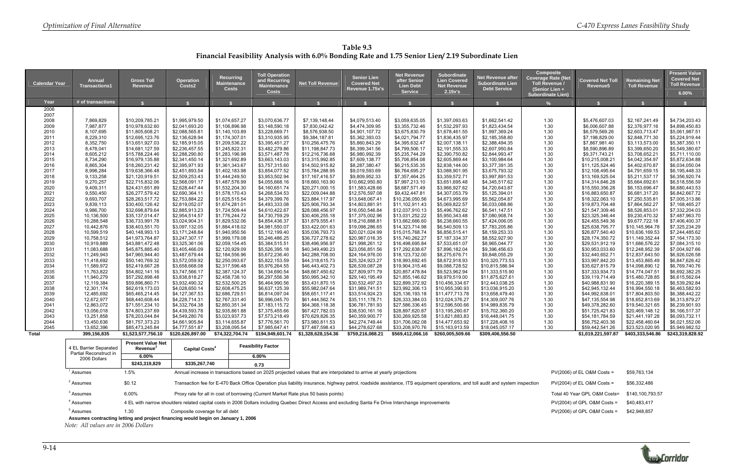| PV(2006) of EL O&M Costs =   | \$59,763,134     |
|------------------------------|------------------|
| $PV(2004)$ of EL O&M Costs = | \$56,332,486     |
| Total 40 Year GPL O&M Costs= | \$140,100,793.57 |
| PV(2004) of GPL O&M Costs =  | \$40,483,417     |
| PV(2006) of GPL O&M Costs =  | \$42,948,857     |



9-14

**Table 9.3 Financial Feasibility Analysis with 6.0% Bonding Rate and 1.75 Senior Lien/ 2.19 Subordinate Lien** 

| <b>Calendar Year</b> | Annual<br>Transactions1  | <b>Gross Toll</b><br><b>Revenue</b> | <b>Operation</b><br>Costs2       | <b>Recurring</b><br>Maintenance<br><b>Costs</b> | Toll Operation<br>and Recurring<br><b>Maintenance</b><br><b>Costs</b> | <b>Net Toll Revenue</b>            | <b>Senior Lien</b><br><b>Covered Net</b><br>Revenue 1.75x's | <b>Net Revenue</b><br>after Senior<br><b>Lien Debt</b><br><b>Service</b> | <b>Subordinate</b><br>Lien Covered<br><b>Net Revenue</b><br>2.19x's | <b>\et Revenue after</b><br><b>Subordinate Lien</b><br><b>Debt Service</b> | <b>Composite</b><br><b>Coverage Rate (Net</b><br>Toll Revenue /<br>(Senior Lien +<br><b>Subordinate Lien)</b> | <b>Covered Net Toll</b><br>Revenue5 | <b>Remaining Net</b><br><b>Toll Revenue</b> | <b>Present Value</b><br><b>Covered Net</b><br><b>Toll Revenue</b><br>6.00% |
|----------------------|--------------------------|-------------------------------------|----------------------------------|-------------------------------------------------|-----------------------------------------------------------------------|------------------------------------|-------------------------------------------------------------|--------------------------------------------------------------------------|---------------------------------------------------------------------|----------------------------------------------------------------------------|---------------------------------------------------------------------------------------------------------------|-------------------------------------|---------------------------------------------|----------------------------------------------------------------------------|
| Year                 | # of transactions        |                                     |                                  | $\mathbf{f}$                                    |                                                                       |                                    |                                                             |                                                                          |                                                                     |                                                                            | %                                                                                                             |                                     |                                             | $\mathbf{s}$                                                               |
| 2006                 |                          |                                     |                                  |                                                 |                                                                       |                                    |                                                             |                                                                          |                                                                     |                                                                            |                                                                                                               |                                     |                                             |                                                                            |
| 2007                 |                          |                                     |                                  |                                                 |                                                                       |                                    |                                                             |                                                                          |                                                                     |                                                                            |                                                                                                               |                                     |                                             |                                                                            |
| 2008                 | 7,869,829                | \$10,209,785.21                     | \$1,995,979.50                   | \$1,074,657.27                                  | \$3,070,636.77                                                        | \$7,139,148.44                     | \$4,079,513.40                                              | \$3,059,635.05                                                           | \$1,397,093.63                                                      | \$1,662,541.42                                                             | 1.30                                                                                                          | \$5,476,607.03                      | \$2,167,241.49                              | \$4,734,203.43                                                             |
| 2009                 | 7,987,877                | \$10,978,632.60                     | \$2,041,693.20                   | \$1,106,896.98                                  | \$3,148,590.18                                                        | \$7,830,042.42                     | \$4,474,309.95                                              | \$3,355,732.46                                                           | \$1,532,297.93                                                      | \$1,823,434.54                                                             | 1.30                                                                                                          | \$6,006,607.88                      | \$2,376,977.16                              | \$4,898,450.83                                                             |
| 2010                 | 8,107,695                | \$11,805,608.21                     | \$2,088,565.81                   | \$1,140,103.89                                  | \$3,228,669.71                                                        | \$8,576,938.50                     | \$4,901,107.72                                              | \$3,675,830.79                                                           | \$1,678,461.55                                                      | \$1,997,369.24                                                             | 1.30                                                                                                          | \$6,579,569.26                      | \$2,603,713.47                              | \$5,061,987.51                                                             |
| 2011                 | 8,229,310                | \$12,695,123.76                     | \$2,136,628.94                   | \$1,174,307.01                                  | \$3,310,935.95                                                        | \$9,384,187.81                     | \$5,362,393.03                                              | \$4,021,794.77                                                           | \$1,836,435.97                                                      | \$2,185,358.80                                                             | 1.30                                                                                                          | \$7,198,829.00                      | \$2,848,771.30                              | \$5,224,919.44                                                             |
| 2012<br>2013         | 8,352,750<br>8,478,041   | \$13,651,927.03<br>\$14,681,127.59  | \$2,185,915.05<br>\$2,236,457.55 | \$1,209,536.22<br>\$1,245,822.31                | \$3,395,451.27<br>\$3,482,279.86                                      | \$10,256,475.76<br>\$11,198,847.73 | \$5,860,843.29<br>\$6,399,341.56                            | \$4,395,632.47<br>\$4,799,506.17                                         | \$2,007,138.11<br>\$2,191,555.33                                    | \$2,388,494.35<br>\$2,607,950.84                                           | 1.30<br>1.30                                                                                                  | \$7,867,981.40<br>\$8,590,896.89    | \$3,113,573.00<br>\$3,399,650.20            | \$5,387,350.11<br>\$5,549,380.67                                           |
| 2014                 | 8,605,212                | \$15,788,224.46                     | \$2,288,290.80                   | \$1,283,196.98                                  | \$3,571,487.78                                                        | \$12,216,736.68                    | \$6,980,992.39                                              | \$5,235,744.29                                                           | \$2,390,750.82                                                      | \$2,844,993.47                                                             | 1.30                                                                                                          | \$9,371,743.21                      | \$3,708,652.21                              | \$5,711,110.00                                                             |
| 2015                 | 8,734,290                | \$16,979,135.88                     | \$2,341,450.14                   | \$1,321,692.89                                  | \$3,663,143.03                                                        | \$13,315,992.85                    | \$7,609,138.77                                              | \$5,706,854.08                                                           | \$2,605,869.44                                                      | \$3,100,984.64                                                             | 1.30                                                                                                          | \$10,215,008.21                     | \$4,042,354.97                              | \$5,872,634.88                                                             |
| 2016                 | 8,865,304                | \$18,260,231.42                     | \$2,395,971.93                   | \$1,361,343.67                                  | \$3,757,315.60                                                        | \$14,502,915.82                    | \$8,287,380.47                                              | \$6,215,535.35                                                           | \$2,838,144.00                                                      | \$3,377,391.35                                                             | 1.30                                                                                                          | \$11,125,524.46                     | \$4,402,670.87                              | \$6,034,050.04                                                             |
| 2017                 | 8,998,284                | \$19,638,366.48                     | \$2,451,893.54                   | \$1,402,183.98                                  | \$3,854,077.52                                                        | \$15,784,288.95                    | \$9,019,593.69                                              | \$6,764,695.27                                                           | \$3,088,901.95                                                      | \$3,675,793.32                                                             | 1.30                                                                                                          | \$12,108,495.64                     | \$4,791,659.15                              | \$6,195,448.33                                                             |
| 2018                 | 9,133,258                | \$21,120,919.51                     | \$2,509,253.43                   | \$1,444,249.50                                  | \$3,953,502.94                                                        | \$17,167,416.57                    | \$9,809,952.33                                              | \$7,357,464.25                                                           | \$3,359,572.71                                                      | \$3,997,891.53                                                             | 1.30                                                                                                          | \$13,169,525.04                     | \$5,211,537.17                              | \$6,356,920.74                                                             |
| 2019                 | 9,270,257                | \$22,715,832.06                     | \$2,568,091.17                   | \$1,487,576.99                                  | \$4,055,668.16                                                        | \$18,660,163.90                    | \$10,662,950.80                                             | \$7,997,213.10                                                           | \$3,651,695.48                                                      | \$4,345,517.62                                                             | 1.30                                                                                                          | \$14,314,646.28                     | \$5,664,692.61                              | \$6,518,556.59                                                             |
| 2020                 | 9,409,311                | \$24,431,651.89                     | \$2,628,447.44                   | \$1,532,204.30                                  | \$4,160,651.74                                                        | \$20,271,000.15                    | \$11,583,428.66                                             | \$8,687,571.49                                                           | \$3,966,927.62                                                      | \$4,720,643.87                                                             | 1.30                                                                                                          | \$15,550,356.28                     | \$6,153,696.47                              | \$6,680,443.53                                                             |
| 2021                 | 9,550,450                | \$26,277,579.42                     | \$2,690,364.11                   | \$1,578,170.43                                  | \$4,268,534.53                                                        | \$22,009,044.88                    | \$12,576,597.08                                             | \$9,432,447.81                                                           | \$4,307,053.79                                                      | \$5,125,394.01                                                             | 1.30                                                                                                          | \$16,883,650.87                     | \$6,681,317.20                              | \$6,842,667.72                                                             |
| 2022                 | 9,693,707                | \$28,263,517.72                     | \$2,753,884.22                   | \$1,625,515.54                                  | \$4,379,399.76                                                        | \$23,884,117.97                    | \$13,648,067.4                                              | \$10,236,050.56                                                          | \$4,673,995.69                                                      | \$5,562,054.87                                                             | 1.30                                                                                                          | \$18,322,063.10                     | \$7,250,535.8                               | \$7,005,313.86                                                             |
| 2023                 | 9,839,113                | \$30,400,126.42                     | \$2,819,052.07                   | \$1,674,281.01                                  | \$4,493,333.08                                                        | \$25,906,793.34                    | \$14,803,881.9                                              | \$11,102,911.43                                                          | \$5,069,822.57                                                      | \$6,033,088.86                                                             | 1.30                                                                                                          | \$19,873,704.48                     | \$7,864,562.27                              | \$7,168,465.27                                                             |
| 2024                 | 9,986,700                | \$32,698,879.64                     | \$2,885,913.23                   | \$1,724,509.44                                  | \$4,610,422.67                                                        | \$28,088,456.97                    | \$16,050,546.84                                             | \$12,037,910.13                                                          | \$5,496,762.62                                                      | \$6,541,147.51                                                             | 1.30                                                                                                          | \$21,547,309.46                     | \$8,526,853.01                              | \$7,332,204.03                                                             |
| 2025                 | 10,136,500               | \$35,137,014.47                     | \$2,954,514.57                   | \$1,776,244.72                                  | \$4,730,759.29                                                        | \$30,406,255.18                    | \$17,375,002.96                                             | \$13,031,252.22                                                          | \$5,950,343.48                                                      | \$7,080,908.74                                                             | 1.30                                                                                                          | \$23,325,346.44                     | \$9,230,470.32                              | \$7,487,963.70                                                             |
| 2026                 | 10,288,548               | \$36,733,991.78                     | \$3,024,904.31                   | \$1,829,532.06                                  | \$4,854,436.37                                                        | \$31,879,555.41                    | \$18,216,888.81                                             | \$13,662,666.60                                                          | \$6,238,660.55                                                      | \$7,424,006.05                                                             | 1.30                                                                                                          | \$24,455,549.36                     | \$9,677,722.18                              | \$7,406,400.37                                                             |
| 2027                 | 10,442,876               | \$38,403,551.70                     | \$3,097,132.05                   | \$1,884,418.02                                  | \$4,981,550.07                                                        | \$33,422,001.63                    | \$19,098,286.65                                             | \$14,323,714.98                                                          | \$6,540,509.13                                                      | \$7,783,205.86                                                             | 1.30                                                                                                          | \$25,638,795.77                     | \$10,145,964.78                             | \$7,325,234.29                                                             |
| 2028                 | 10,599,519               | \$40,148,993.13                     | \$3,171,248.84                   | \$1,940,950.56                                  | \$5,112,199.40                                                        | \$35,036,793.73                    | \$20,021,024.99                                             | \$15,015,768.74                                                          | \$6,856,515.41                                                      | \$8,159,253.33                                                             | 1.30                                                                                                          | \$26,877,540.40                     | \$10,636,169.53                             | \$7,244,485.62                                                             |
| 2029                 | 10,758,512               | \$41,973,764.87                     | \$3,247,307.17                   | \$1,999,179.08                                  | \$5,246,486.25                                                        | \$36,727,278.62                    | \$20,987,016.35                                             | \$15,740,262.27                                                          | \$7,187,334.37                                                      | \$8,552,927.90                                                             | 1.30                                                                                                          | \$28,174,350.72                     | \$11,149,352.44                             | \$7,164,173.30                                                             |
| 2030                 | 10,919,889               | \$43,881,472.48                     | \$3,325,361.06                   | \$2,059,154.45                                  | \$5,384,515.51                                                        | \$38,496,956.97                    | \$21,998,261.12                                             | \$16,498,695.84                                                          | \$7,533,651.07                                                      | \$8,965,044.77                                                             | 1.30                                                                                                          | \$29,531,912.19                     | \$11,686,576.22                             | \$7,084,315.10                                                             |
| 2031                 | 11,083,688               | \$45,875,885.40                     | \$3,405,466.09                   | \$2,120,929.09                                  | \$5,526,395.18                                                        | \$40,349,490.23                    | \$23,056,851.56                                             | \$17,292,638.67                                                          | \$7,896,182.04                                                      | \$9,396,456.63                                                             | 1.30                                                                                                          | \$30,953,033.60                     | \$12,248,952.39                             | \$7,004,927.66                                                             |
| 2032                 | 11,249,943               | \$47,960,944.40                     | \$3,487,679.44                   | \$2,184,556.96                                  | \$5,672,236.40                                                        | \$42,288,708.00                    | \$24,164,976.00                                             | \$18,123,732.00                                                          | \$8,275,676.71                                                      | \$9,848,055.29                                                             | 1.30                                                                                                          | \$32,440,652.71                     | \$12,837,643.50                             | \$6,926,026.58                                                             |
| 2033                 | 11,418,692               | \$50,140,769.32                     | \$3,572,059.92                   | \$2,250,093.67                                  | \$5,822,153.59                                                        | \$44,318,615.73                    | \$25,324,923.27                                             | \$18,993,692.45                                                          | \$8,672,918.93                                                      | \$10,320,773.53                                                            | 1.30                                                                                                          | \$33,997,842.20                     | \$13,453,865.49                             | \$6,847,626.42                                                             |
| 2034                 | 11,589,972               | \$52,419,667.28                     | \$3,658,668.08                   | \$2,317,596.48                                  | \$5,976,264.55                                                        | \$46,443,402.73                    | \$26,539,087.28                                             | \$19,904,315.46                                                          | \$9,088,728.52                                                      | \$10,815,586.94                                                            | 1.30                                                                                                          | \$35,627,815.79                     | \$14,098,890.12                             | \$6,769,740.76                                                             |
| 2035                 | 11,763,822               | \$54,802,141.16                     | \$3,747,566.17                   | \$2,387,124.37                                  | \$6,134,690.54                                                        | \$48,667,450.62                    | \$27,809,971.79                                             | \$20,857,478.84                                                          | \$9,523,962.94                                                      | \$11,333,515.90                                                            | 1.30                                                                                                          | \$37,333,934.73                     | \$14,774,047.51                             | \$6,692,382.25                                                             |
| 2036                 | 11,940,279               | \$57,292,898.48                     | \$3,838,818.27                   | \$2,458,738.10                                  | \$6,297,556.38                                                        | \$50,995,342.10                    | \$29,140,195.49                                             | \$21,855,146.62                                                          | \$9,979,519.00                                                      | \$11,875,627.61                                                            | 1.30                                                                                                          | \$39,119,714.49                     | \$15,480,728.85                             | \$6,615,562.64                                                             |
| 2037<br>2038         | 12,119,384<br>12,301,174 | \$59,896,860.71                     | \$3,932,490.32                   | \$2,532,500.25<br>\$2,608,475.25                | \$6,464,990.56                                                        | \$53,431,870.15                    | \$30,532,497.23<br>\$31,989,741.51                          | \$22,899,372.92<br>\$23,992,306.13                                       | \$10,456,334.67                                                     | \$12,443,038.25                                                            | 1.30<br>1.30                                                                                                  | \$40,988,831.90                     | \$16,220,389.15<br>\$16,994,550.18          | \$6,539,292.84<br>\$6,463,582.93                                           |
| 2039                 | 12,485,692               | \$62,619,173.03<br>\$65,465,214.45  | \$4,028,650.14<br>\$4,127,367.53 | \$2,686,729.51                                  | \$6,637,125.39<br>\$6,814,097.04                                      | \$55,982,047.64<br>\$58,651,117.41 | \$33,514,924.23                                             | \$25,136,193.18                                                          | \$10,955,390.93<br>\$11,477,713.78                                  | \$13,036,915.20<br>\$13,658,479.40                                         | 1.30                                                                                                          | \$42,945,132.44<br>\$44,992,638.01  | \$17,804,803.50                             | \$6,388,442.22                                                             |
| 2040                 | 12,672,977               | \$68,440,608.44                     |                                  | \$2,767,331.40                                  |                                                                       | \$61,444,562.74                    | \$35,111,178.71                                             | \$26,333,384.03                                                          | \$12,024,376.27                                                     |                                                                            | 1.30                                                                                                          |                                     |                                             | \$6,313,879.27                                                             |
| 2041                 | 12,863,072               | \$71,551,234.10                     | \$4,228,714.31<br>\$4,332,764.38 | \$2,850,351.34                                  | \$6,996,045.70<br>\$7,183,115.72                                      | \$64,368,118.38                    | \$36,781,781.93                                             | \$27,586,336.45                                                          | \$12,596,500.66                                                     | \$14,309,007.76<br>\$14,989,835.79                                         | 1.30                                                                                                          | \$47,135,554.98<br>\$49,378,282.60  | \$18,652,813.69<br>\$19,540,321.65          | \$6,239,901.93                                                             |
| 2042                 | 13,056,018               | \$74,803,237.69                     | \$4,439,593.78                   | \$2,935,861.88                                  | \$7,375,455.66                                                        | \$67,427,782.03                    | \$38,530,161.16                                             | \$28,897,620.87                                                          | \$13,195,260.67                                                     | \$15,702,360.20                                                            | 1.30                                                                                                          | \$51,725,421.83                     | \$20,469,148.12                             | \$6,166,517.37                                                             |
| 2043                 | 13,251,858               | \$78,203,044.84                     | \$4,549,280.76                   | \$3,023,937.73                                  | \$7,573,218.49                                                        | \$70,629,826.35                    | \$40,359,900.77                                             | \$30,269,925.58                                                          | \$13,821,883.83                                                     | \$16,448,041.75                                                            | 1.30                                                                                                          | \$54,181,784.59                     | \$21,441,197.28                             | \$6,093,732.11                                                             |
| 2044                 | 13,450,636               | \$81,757,373.23                     | \$4,661,905.84                   | \$3,114,655.8                                   | \$7,776,561.70                                                        | \$73,980,811.53                    | \$42,274,749.44                                             | \$31,706,062.08                                                          | \$14,477,653.92                                                     | \$17,228,408.16                                                            | 1.30                                                                                                          | \$56,752,403.36                     | \$22,458,460.64                             | \$6,021,552.06                                                             |
| 2045                 | 13,652,396               | \$85,473,245.84                     | \$4,777,551.87                   | \$3,208,095.54                                  | \$7.985.647.41                                                        | \$77,487,598.43                    | \$44,278,627.68                                             | \$33,208,970.76                                                          | \$15,163,913.59                                                     | \$18,045,057.17                                                            | 1.30                                                                                                          | \$59,442,541.26                     | \$23,523,020.95                             | \$5,949,982.52                                                             |
| <b>Total</b>         | 399,156,835              | \$1,523,577,756.10                  | \$120,626,897.00                 | \$74,322,704.74                                 | \$194,949,601.74                                                      | \$1,328,628,154.36                 | \$759,216,088.21                                            | $\overline{$569,412,066.16}$                                             | \$260,005,509.66                                                    | \$309,406,556.50                                                           |                                                                                                               | \$1,019,221,597.87                  | \$403,333,546.86                            | \$243,319,828.92                                                           |

| 4 EL Barrier Separated                 | <b>Present Value Net</b><br><b>Revenue</b> <sup>3</sup> | <b>Capital Costs<sup>4</sup></b>                                                                                                                                                                                              | <b>Feasibility Factor</b>                                                                                            |                                                                                                                                                       |                               |                  |  |  |
|----------------------------------------|---------------------------------------------------------|-------------------------------------------------------------------------------------------------------------------------------------------------------------------------------------------------------------------------------|----------------------------------------------------------------------------------------------------------------------|-------------------------------------------------------------------------------------------------------------------------------------------------------|-------------------------------|------------------|--|--|
| Partial Reconstruct in<br>2006 Dollars | 6.00%                                                   |                                                                                                                                                                                                                               | 6.00%                                                                                                                |                                                                                                                                                       |                               |                  |  |  |
|                                        | \$243,319,829                                           | \$335,267,740                                                                                                                                                                                                                 | 0.73                                                                                                                 |                                                                                                                                                       |                               |                  |  |  |
| Assumes                                | 1.5%                                                    |                                                                                                                                                                                                                               | Annual increase in transactions based on 2025 projected values that are interpolated to arrive at yearly projections | $PV(2006)$ of EL O&M Costs =                                                                                                                          | \$59,763,134                  |                  |  |  |
| <sup>2</sup> Assumes                   | \$0.12                                                  | Transaction fee for E-470 Back Office Operation plus liability insurance, highway patrol, roadside assistance, ITS equipment operations, and toll audit and system inspection<br>\$56,332,486<br>$PV(2004)$ of EL O&M Costs = |                                                                                                                      |                                                                                                                                                       |                               |                  |  |  |
| $3$ Assumes                            | 6.00%                                                   |                                                                                                                                                                                                                               | Proxy rate for all in cost of borrowing (Current Market Rate plus 50 basis points)                                   |                                                                                                                                                       | Total 40 Year GPL O&M Costs=  | \$140.100.793.57 |  |  |
| <sup>4</sup> Assumes                   |                                                         |                                                                                                                                                                                                                               |                                                                                                                      | 4 EL with narrow shoulders related capital costs in 2006 Dollars including Quebec Direct Access and excluding Santa Fe Drive Interchange improvements | $PV(2004)$ of GPL O&M Costs = | \$40,483,417     |  |  |
| $^5$ Assumes                           | 1.30                                                    | Composite coverage for all debt                                                                                                                                                                                               | $PV(2006)$ of GPL O&M Costs =                                                                                        | \$42,948,857                                                                                                                                          |                               |                  |  |  |
|                                        |                                                         | Assumes contracting letting and project financing would begin on January 1, 2006                                                                                                                                              |                                                                                                                      |                                                                                                                                                       |                               |                  |  |  |
| Note: All values are in 2006 Dollars   |                                                         |                                                                                                                                                                                                                               |                                                                                                                      |                                                                                                                                                       |                               |                  |  |  |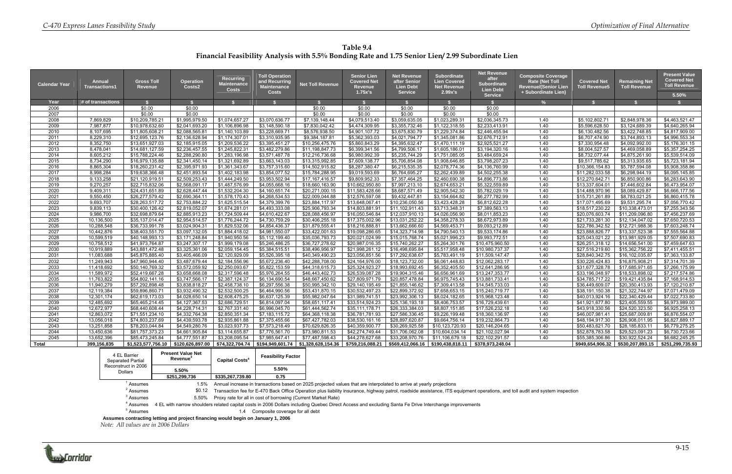**Table 9.4 Financial Feasibility Analysis with 5.5% Bonding Rate and 1.75 Senior Lien/ 2.99 Subordinate Lien** 

| <b>Calendar Year</b> | Annual<br>Transactions1  | <b>Gross Toll</b><br><b>Revenue</b> | <b>Operation</b><br>Costs2       | <b>Recurring</b><br>Maintenance<br><b>Costs</b> | <b>Toll Operation</b><br>and Recurring<br><b>Maintenance</b><br><b>Costs</b> | <b>Net Toll Revenue</b>                                        | <b>Senior Lien</b><br><b>Covered Net</b><br><b>Revenue</b><br>1.75x's | Net Revenue<br>after Senior<br><b>Lien Debt</b><br><b>Service</b> | <b>Subordinate</b><br><b>Lien Covered</b><br><b>Net Revenue</b><br>2.99x's | <b>Net Revenue</b><br>after<br><b>Subordinate</b><br><b>Lien Debt</b><br><b>Service</b> | <b>Composite Coverage</b><br><b>Rate (Net Toll</b><br><b>Revenue/(Senior Lien</b><br>+ Subordinate Lien) | <b>Covered Net</b><br><b>Toll Revenue5</b> | <b>Remaining Net</b><br><b>Toll Revenue</b> | <b>Present Value</b><br><b>Covered Net</b><br><b>Toll Revenue</b><br>5.50% |
|----------------------|--------------------------|-------------------------------------|----------------------------------|-------------------------------------------------|------------------------------------------------------------------------------|----------------------------------------------------------------|-----------------------------------------------------------------------|-------------------------------------------------------------------|----------------------------------------------------------------------------|-----------------------------------------------------------------------------------------|----------------------------------------------------------------------------------------------------------|--------------------------------------------|---------------------------------------------|----------------------------------------------------------------------------|
| Year                 | # of transactions        |                                     |                                  |                                                 |                                                                              | $\mathbf{r}$                                                   | $\hat{\mathbf{r}}$                                                    |                                                                   | $\ddot{\bm{z}}$                                                            | $\mathbf{s}$                                                                            |                                                                                                          |                                            |                                             |                                                                            |
| 2006                 |                          | \$0.00                              | \$0.00                           |                                                 |                                                                              | \$0.00                                                         | \$0.00                                                                | \$0.00                                                            | \$0.00                                                                     | \$0.00                                                                                  |                                                                                                          |                                            |                                             |                                                                            |
| 2007                 |                          | \$0.00                              | \$0.00                           |                                                 |                                                                              | \$0.00                                                         | \$0.00                                                                | \$0.00                                                            | \$0.00                                                                     | \$0.00                                                                                  |                                                                                                          |                                            |                                             |                                                                            |
| 2008                 | 7.869.829                | \$10,209,785.21                     | \$1,995,979.50                   | \$1.074.657.27                                  | \$3.070.636.77                                                               | \$7.139.148.44                                                 | \$4.079.513.40                                                        | \$3,059,635.05                                                    | \$1.023.289.31                                                             | \$2.036.345.73                                                                          | 1.40                                                                                                     | \$5.102.802.71                             | \$2,848,978,36                              | \$4.463.521.47                                                             |
| 2009                 | 7,987,877                | \$10,978,632.60                     | \$2,041,693.20                   | $\overline{51,106,896.98}$                      | \$3,148,590.18                                                               | \$7,830,042.42                                                 | \$4,474,309.95                                                        | \$3,355,732.46                                                    | \$1,122,318.55                                                             | \$2,233,413.91                                                                          | 1.40                                                                                                     | \$5,596,628.50                             | \$3,124,689.39                              | \$4,640,265.94                                                             |
| 2010                 | 8,107,695                | \$11,805,608.21                     | \$2,088,565.81                   | \$1,140,103.89                                  | \$3,228,669.71                                                               | \$8,576,938.50                                                 | \$4,901,107.72                                                        | \$3,675,830.79                                                    | \$1,229,374.84                                                             | \$2,446,455.94                                                                          | 1.40                                                                                                     | \$6,130,482.56                             | \$3,422,748.85                              | \$4,817,909.00                                                             |
| 2011                 | 8,229,310                | \$12,695,123.76                     | \$2,136,628.94                   | \$1,174,307.01                                  | \$3,310,935.95                                                               | \$9,384,187.81                                                 | \$5,362,393.03                                                        | \$4,021,794.77                                                    | \$1,345,081.86                                                             | \$2,676,712.91                                                                          | 1.40                                                                                                     | \$6,707,474.90                             | \$3,744,893.13                              | \$4,996,553.34                                                             |
| 2012                 | 8,352,750                | \$13,651,927.03                     | \$2,185,915.05                   | \$1,209,536.22                                  | \$3,395,451.27                                                               | \$10,256,475.76                                                | \$5,860,843.29                                                        | \$4,395,632.47                                                    | \$1,470,111.19                                                             | \$2,925,521.27                                                                          | 1.40                                                                                                     | \$7,330,954.48                             | \$4,092,992.00                              | \$5,176,301.15                                                             |
| 2013                 | 8,478,041                | \$14,681,127.59                     | \$2,236,457.55                   | \$1,245,822.31                                  | \$3,482,279.86                                                               | \$11,198,847.73                                                | \$6,399,341.56                                                        | \$4,799,506.17                                                    | \$1,605,186.01                                                             | $\overline{3,194,320}.16$                                                               | 1.40                                                                                                     | \$8,004,527.57                             | \$4,469,058.89                              | \$5,357,254.25                                                             |
| 2014                 | 8,605,212                | \$15,788,224.46                     | \$2,288,290.80                   | \$1,283,196.98                                  | \$3,571,487.78                                                               | \$12,216,736.68                                                | \$6,980,992.39                                                        | \$5,235,744.29                                                    | \$1,751,085.05                                                             | \$3,484,659.24                                                                          | 1.40                                                                                                     | \$8,732,077.44                             | \$4,875,261.90                              | \$5,539,514.09                                                             |
| 2015                 | 8,734,290                | \$16,979,135.88                     | \$2.341.450.14                   | \$1,321,692.89                                  | \$3,663,143.03                                                               | \$13,315,992.85                                                | \$7,609,138.77                                                        | \$5,706,854.08                                                    | \$1,908,646.85                                                             | \$3,798,207.23                                                                          | 1.40                                                                                                     | \$9,517,785.62                             | \$5,313,935.65                              | \$5,723,181.94                                                             |
| 2016<br>2017         | 8,865,304<br>8,998,284   | \$18,260,231.42<br>\$19,638,366.48  | \$2,395,971.93<br>\$2,451,893.54 | \$1,361,343.67<br>\$1,402,183.98                | \$3,757,315.60<br>\$3,854,077.52                                             | \$14,502,915.82<br>\$15,784,288.95                             | \$8,287,380.47<br>\$9,019,593.69                                      | \$6,215,535.35<br>\$6,764,695.27                                  | \$2,078,774.36<br>\$2,262,439.89                                           | \$4,136,760.99<br>\$4,502,255.38                                                        | 1.40<br>1.40                                                                                             | \$10,366,154.83<br>\$11,282,033.58         | \$5,787,594.08<br>\$6,298,944.19            | \$5,908,358.86<br>\$6,095,145.85                                           |
| 2018                 | 9,133,258                | \$21,120,919.51                     | \$2,509,253.43                   | \$1,444,249.50                                  | \$3,953,502.94                                                               | \$17,167,416.57                                                | \$9,809,952.33                                                        | \$7,357,464.25                                                    | \$2,460,690.38                                                             | \$4,896,773.86                                                                          | 1.40                                                                                                     | \$12,270,642.71                            | \$6,850,900.86                              | \$6,283,643.90                                                             |
| 2019                 | 9,270,257                | \$22,715,832.06                     | \$2,568,091.17                   | \$1,487,576.99                                  | \$4,055,668.16                                                               | \$18,660,163.90                                                | \$10,662,950.80                                                       | \$7,997,213.10                                                    | \$2,674,653.21                                                             | \$5,322,559.89                                                                          | 1.40                                                                                                     | \$13,337,604.01                            | \$7,446,602.84                              | \$6,473,954.07                                                             |
| 2020                 | 9.409.311                | \$24.431.651.89                     | \$2.628.447.44                   | \$1,532,204.30                                  | \$4.160.651.74                                                               | \$20.271.000.15                                                | \$11.583.428.66                                                       | \$8.687.571.49                                                    | \$2.905.542.30                                                             | \$5.782.029.19                                                                          | 1.40                                                                                                     | \$14.488.970.96                            | \$8.089.429.87                              | \$6.666.177.56                                                             |
| 2021                 | 9,550,450                | \$26,277,579.42                     | \$2,690,364.11                   | \$1,578,170.43                                  | \$4,268,534.53                                                               | \$22,009,044.88                                                | \$12,576,597.08                                                       | \$9,432,447.81                                                    | \$3,154,664.82                                                             | \$6,277,782.99                                                                          | 1.40                                                                                                     | \$15,731,261.89                            | \$8,783,021.25                              | \$6,860,415.78                                                             |
| 2022                 | 9,693,707                | \$28,263,517.72                     | \$2,753,884.22                   | \$1,625,515.54                                  | \$4,379,399.76                                                               | \$23,884,117.97                                                | \$13,648,067.41                                                       | \$10,236,050.56                                                   | \$3,423,428.28                                                             | \$6,812,622.28                                                                          | 1.40                                                                                                     | \$17,071,495.69                            | \$9,531,295.74                              | \$7,056,770.42                                                             |
| 2023                 | 9,839,113                | \$30,400,126.42                     | \$2,819,052.07                   | \$1,674,281.01                                  | \$4,493,333.08                                                               | \$25,906,793.34                                                | \$14,803,881.91                                                       | \$11,102,911.43                                                   | \$3,713,348.31                                                             | \$7,389,563.13                                                                          | 1.40                                                                                                     | \$18,517,230.22                            | \$10,338,473.01                             | \$7,255,343.56                                                             |
| 2024                 | 9,986,700                | \$32,698,879.64                     | \$2,885,913.23                   | \$1,724,509.44                                  | \$4,610,422.67                                                               | \$28,088,456.97                                                | \$16,050,546.84                                                       | \$12,037,910.13                                                   | \$4,026,056.90                                                             | \$8,011,853.23                                                                          | 1.40                                                                                                     | \$20,076,603.74                            | \$11,209,096.80                             | \$7,456,237.69                                                             |
| 2025                 | 10,136,500               | \$35,137,014.47                     | \$2,954,514.57                   | \$1,776,244.72                                  | \$4,730,759.29                                                               | \$30,406,255.18                                                | \$17,375,002.96                                                       | \$13,031,252.22                                                   | \$4,358,278.33                                                             | \$8,672,973.89                                                                          | 1.40                                                                                                     | \$21,733,281.30                            | \$12,134,047.02                             | \$7,650,720.53                                                             |
| 2026                 | 10,288,548               | \$36,733,991.78                     | \$3,024,904.31                   | \$1,829,532.06                                  | \$4,854,436.37                                                               | \$31,879,555.41                                                | \$18,216,888.81                                                       | \$13,662,666.60                                                   | \$4,569,453.71                                                             | \$9,093,212.89                                                                          | 1.40                                                                                                     | \$22,786,342.52                            | \$12,721,988.36                             | \$7,603,248.74                                                             |
| 2027                 | 10,442,876               | \$38,403,551.70                     | \$3.097.132.05                   | \$1,884,418.02                                  | \$4,981,550.07                                                               | \$33,422,001.63                                                | \$19,098,286.65                                                       | \$14,323,714.98                                                   | \$4,790,540.13                                                             | \$9,533,174.86                                                                          | 1.40                                                                                                     | \$23.888.826.77                            | \$13,337,523.38                             | \$7,555,564.88                                                             |
| 2028                 | 10,599,519               | \$40,148,993.13                     | \$3,171,248.84                   | \$1,940,950.56                                  | \$5,112,199.40                                                               | \$35,036,793.73                                                | \$20,021,024.99                                                       | \$15,015,768.74                                                   | \$5,021,996.23                                                             | \$9,993,772.51                                                                          | 1.40                                                                                                     | \$25,043,021.22                            | \$13,981,929.05                             | \$7,507,690.83                                                             |
| 2029                 | 10,758,512               | \$41,973,764.87                     | \$3,247,307.17                   | \$1,999,179.08                                  | \$5,246,486.25                                                               | \$36,727,278.62                                                | \$20,987,016.35                                                       | \$15,740,262.27                                                   | \$5,264,301.76                                                             | \$10,475,960.50                                                                         | 1.40                                                                                                     | \$26,251,318.12                            | \$14,656,541.00                             | \$7,459,647.63                                                             |
| 2030                 | 10,919,889               | \$43,881,472.48                     | \$3,325,361.06                   | \$2,059,154.45                                  | \$5,384,515.51                                                               | \$38,496,956.97                                                | \$21,998,261.12                                                       | \$16,498,695.84                                                   | \$5,517,958.48                                                             | \$10,980,737.37                                                                         | 1.40                                                                                                     | \$27,516,219.60                            | \$15,362,756.22                             | \$7,411,455.51                                                             |
| 2031                 | 11,083,688               | \$45,875,885.40                     | \$3,405,466.09                   | \$2,120,929.09                                  | \$5,526,395.18                                                               | \$40,349,490.23                                                | \$23,056,851.56                                                       | \$17,292,638.67                                                   | \$5,783,491.19                                                             | \$11,509,147.47                                                                         | 1.40                                                                                                     | \$28,840,342.75                            | \$16,102,035.87                             | \$7,363,133.87                                                             |
| 2032                 | 11,249,943               | \$47,960,944.40                     | \$3,487,679.44                   | \$2,184,556.96                                  | \$5,672,236.40                                                               | \$42,288,708.00                                                | \$24,164,976.00                                                       | \$18,123,732.00                                                   | \$6,061,448.83                                                             | \$12,062,283.17                                                                         | 1.40                                                                                                     | \$30,226,424.83                            | \$16,875,908.21                             | \$7,314,701.39                                                             |
| 2033                 | 11,418,692               | \$50,140,769.32                     | \$3,572,059.92                   | \$2,250,093.67                                  | \$5,822,153.59                                                               | \$44,318,615.73                                                | \$25,324,923.27                                                       | \$18,993,692.45                                                   | \$6,352,405.50                                                             | \$12,641,286.95                                                                         | 1.40                                                                                                     | \$31,677,328.78                            | \$17,685,971.65                             | \$7,266,175.99                                                             |
| 2034                 | 11,589,972               | \$52,419,667.28                     | \$3,658,668.08                   | \$2,317,596.48                                  | \$5,976,264.55                                                               | \$46,443,402.73                                                | \$26,539,087.28                                                       | \$19,904,315.46                                                   | \$6,656,961.69                                                             | \$13,247,353.77                                                                         | 1.40                                                                                                     | \$33,196,048.97                            | \$18,533,898.02                             | \$7,217,574.86                                                             |
| 2035                 | 11,763,822               | \$54,802,141.16                     | \$3,747,566.17                   | \$2,387,124.37                                  | \$6,134,690.54                                                               | \$48,667,450.62                                                | \$27,809,971.79                                                       | \$20,857,478.84                                                   | \$6,975,745.43                                                             | \$13,881,733.41                                                                         | 1.40                                                                                                     | \$34,785,717.22                            | \$19,421,435.84                             | \$7,168,914.53                                                             |
| 2036                 | 11.940.279               | \$57,292,898.48                     | \$3.838.818.27                   | \$2,458,738.10                                  | \$6,297,556.38                                                               | \$50,995,342.10                                                | \$29,140,195.49                                                       | \$21,855,146.62                                                   | \$7,309,413.58                                                             | \$14,545,733.03                                                                         | 1.40                                                                                                     | \$36.449.609.07                            | \$20,350,413.93                             | \$7,120,210.87                                                             |
| 2037<br>2038         | 12,119,384<br>12,301,174 | \$59,896,860.71<br>\$62,619,173.03  | \$3,932,490.32<br>\$4.028.650.14 | \$2,532,500.25<br>\$2,608,475.25                | \$6,464,990.56<br>\$6,637,125.39                                             | \$53,431,870.15<br>\$55,982,047.64                             | \$30,532,497.23<br>\$31,989,741.51                                    | \$22,899,372.92<br>\$23,992,306.13                                | \$7,658,653.15<br>\$8,024,182.65                                           | \$15,240,719.77<br>\$15,968,123.48                                                      | 1.40<br>1.40                                                                                             | \$38,191,150.38<br>\$40,013,924.16         | \$21,322,744.97<br>\$22,340,429.44          | \$7,071,479.09<br>\$7,022,733.80                                           |
| 2039                 | 12,485,692               | \$65,465,214.45                     | \$4,127,367.53                   | \$2,686,729.51                                  | \$6,814,097.04                                                               | \$58,651,117.41                                                | \$33,514,924.23                                                       | \$25,136,193.18                                                   | \$8,406,753.57                                                             | \$16,729,439.61                                                                         | 1.40                                                                                                     | \$41,921,677.80                            | \$23,405,559.55                             | \$6,973,989.00                                                             |
| 2040                 | 12,672,977               | \$68,440,608.44                     | \$4,228,714.31                   | \$2,767,331.40                                  | \$6,996,045.70                                                               | \$61,444,562.74                                                | \$35,111,178.71                                                       | \$26,333,384.03                                                   | \$8,807,151.85                                                             | \$17,526,232.18                                                                         | 1.40                                                                                                     | \$43,918,330.56                            | \$24,520,323.50                             | \$6,925,258.13                                                             |
| 2041                 | 12.863.072               | \$71,551,234.10                     | \$4.332.764.38                   | \$2,850,351.34                                  | \$7,183,115.72                                                               | \$64,368,118.38                                                | \$36,781,781.93                                                       | \$27,586,336.45                                                   | \$9,226,199.48                                                             | \$18,360,136.97                                                                         | 1.40                                                                                                     | \$46,007,981.41                            | \$25,687,009.81                             | \$6,876,554.07                                                             |
| 2042                 | 13.056.018               | \$74.803.237.69                     | \$4.439.593.78                   | \$2,935,861.88                                  | \$7,375,455.66                                                               | \$67.427.782.03                                                | \$38,530,161.16                                                       | \$28.897.620.87                                                   | $\overline{$9,664,756.14}$                                                 | \$19.232.864.73                                                                         | 1.40                                                                                                     | \$48.194.917.30                            | \$26.908.011.95                             | \$6,827,889.17                                                             |
| 2043                 | 13,251,858               | \$78,203,044.84                     | \$4,549,280.76                   | \$3,023,937.73                                  | \$7,573,218.49                                                               | \$70,629,826.35                                                | \$40,359,900.77                                                       | \$30,269,925.58                                                   | \$10,123,720.93                                                            | \$20,146,204.65                                                                         | 1.40                                                                                                     | \$50,483,621.70                            | \$28,185,833.11                             | \$6,779,275.25                                                             |
| 2044                 | 13,450,636               | \$81,757,373.23                     | \$4,661,905.84                   | \$3,114,655.87                                  | \$7,776,561.70                                                               | \$73,980,811.53                                                | \$42,274,749.44                                                       | \$31,706,062.08                                                   | \$10,604,034.14                                                            | \$21,102,027.94                                                                         | 1.40                                                                                                     | \$52,878,783.58                            | \$29,523,091.23                             | \$6,730,723.66                                                             |
| 2045                 | 13,652,396               | \$85,473,245.84                     | \$4,777,551.87                   | \$3,208,095.54                                  | \$7,985,647.41                                                               | \$77,487,598.43                                                | \$44,278,627.68                                                       | \$33,208,970.76                                                   | \$11,106,679.18                                                            | \$22,102,291.57                                                                         | 1.40                                                                                                     | \$55,385,306.86                            | \$30,922,524.24                             | \$6,682,245.25                                                             |
| <b>Total</b>         | 399,156,835              | \$1,523,577,756.10                  | $\frac{1}{2}$ \$120,626,897.00   |                                                 |                                                                              | $\mid$ \$74,322,704.74   \$194,949,601.74   \$1,328,628,154.36 | \$759,216,088.21                                                      | \$569,412,066.16                                                  | \$190,438,818.11                                                           | \$378,973,248.04                                                                        |                                                                                                          |                                            | $$949,654,906.32$ $$530,207,893.15$         | \$251,299,735.93                                                           |

| 4 EL Barrier<br><b>Separated Partial</b> | <b>Present Value Net</b><br><b>Revenue</b> <sup>3</sup> | Capital Costs <sup>4</sup>                                                                                            | <b>Feasibility Factor</b>                                     |                                                                                                                      |  |  |  |  |
|------------------------------------------|---------------------------------------------------------|-----------------------------------------------------------------------------------------------------------------------|---------------------------------------------------------------|----------------------------------------------------------------------------------------------------------------------|--|--|--|--|
| Reconstruct in 2006<br><b>Dollars</b>    | 5.50%                                                   |                                                                                                                       | 5.50%                                                         |                                                                                                                      |  |  |  |  |
|                                          | \$251,299,736                                           | \$335.267.739.80                                                                                                      | 0.75                                                          |                                                                                                                      |  |  |  |  |
| Assumes                                  | 1.5%                                                    |                                                                                                                       |                                                               | Annual increase in transactions based on 2025 projected values that are interpolated to arrive at yearly projections |  |  |  |  |
| <sup>2</sup> Assumes                     | \$0.12                                                  | Transaction fee for E-470 Back Office Operation plus liability insurance, highway patrol, roadside assistance, ITS ed |                                                               |                                                                                                                      |  |  |  |  |
| Assumes                                  | 5.50%                                                   |                                                                                                                       | Proxy rate for all in cost of borrowing (Current Market Rate) |                                                                                                                      |  |  |  |  |
|                                          |                                                         |                                                                                                                       |                                                               |                                                                                                                      |  |  |  |  |

Market Rate)

<sup>4</sup> Assumes 4 EL with narrow shoulders related capital costs in 2006 Dollars including Quebec Direct Access and excluding Santa Fe Drive Interchange improvements <sup>5</sup><br><sup>5</sup> Assumes 2014 1.4 Composite coverage for all debt 1.4 Composite coverage for all debt

**Assumes contracting letting and project financing would begin on January 1, 2006** 

*Note: All values are in 2006 Dollars* 



on plus liability insurance, highway patrol, roadside assistance, ITS equipment operations, and toll audit and system inspection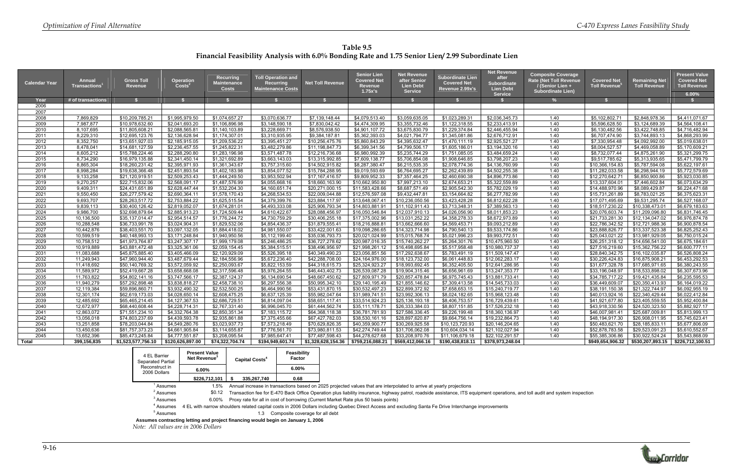

**Table 9.5 Financial Feasibility Analysis with 6.0% Bonding Rate and 1.75 Senior Lien/ 2.99 Subordinate Lien** 

| Calendar Year | <b>Annual</b><br><b>Transactions</b> | <b>Gross Toll</b><br><b>Revenue</b> | <b>Operation</b><br>$\text{Costs}^2$ | <b>Recurring</b><br>Maintenance<br><b>Costs</b> | <b>Toll Operation and</b><br><b>Recurring</b><br><b>Maintenance Costs</b> | <b>Net Toll Revenue</b> | <b>Senior Lien</b><br><b>Covered Net</b><br><b>Revenue</b><br>$1.75x$ 's | <b>Net Revenue</b><br>after Senior<br><b>Lien Debt</b><br><b>Service</b> | <b>Subordinate Lien</b><br><b>Covered Net</b><br>Revenue 2.99x's | Net Revenue<br>after<br><b>Subordinate</b><br><b>Lien Debt</b><br><b>Service</b> | <b>Composite Coverage</b><br><b>Rate (Net Toll Revenue</b><br>/ (Senior Lien +<br><b>Subordinate Lien)</b> | <b>Covered Net</b><br>Toll Revenue | <b>Remaining Net</b><br><b>Toll Revenue</b> | <b>Present Value</b><br><b>Covered Net</b><br><b>Toll Revenue</b><br>6.00% |
|---------------|--------------------------------------|-------------------------------------|--------------------------------------|-------------------------------------------------|---------------------------------------------------------------------------|-------------------------|--------------------------------------------------------------------------|--------------------------------------------------------------------------|------------------------------------------------------------------|----------------------------------------------------------------------------------|------------------------------------------------------------------------------------------------------------|------------------------------------|---------------------------------------------|----------------------------------------------------------------------------|
| Year          | # of transactions                    |                                     |                                      |                                                 |                                                                           |                         |                                                                          |                                                                          |                                                                  |                                                                                  |                                                                                                            |                                    |                                             |                                                                            |
| 2006          |                                      |                                     |                                      |                                                 |                                                                           |                         |                                                                          |                                                                          |                                                                  |                                                                                  |                                                                                                            |                                    |                                             |                                                                            |
| 2007          |                                      |                                     |                                      |                                                 |                                                                           |                         |                                                                          |                                                                          |                                                                  |                                                                                  |                                                                                                            |                                    |                                             |                                                                            |
| 2008          | 7,869,829                            | \$10,209,785.21                     | \$1,995,979.50                       | \$1,074,657.27                                  | \$3,070,636.77                                                            | \$7,139,148.44          | \$4,079,513.40                                                           | \$3,059,635.05                                                           | \$1,023,289.31                                                   | \$2,036,345.73                                                                   | 1.40                                                                                                       | \$5,102,802.71                     | \$2,848,978.36                              | \$4,411,071.67                                                             |
| 2009          | 7,987,877                            | \$10,978,632.60                     | \$2,041,693.20                       | \$1,106,896.98                                  | \$3,148,590.18                                                            | \$7,830,042.42          | \$4,474,309.95                                                           | \$3,355,732.46                                                           | \$1,122,318.55                                                   | \$2,233,413.91                                                                   | 1.40                                                                                                       | \$5,596,628.50                     | \$3,124,689.39                              | \$4,564,108.41                                                             |
| 2010          | 8,107,695                            | \$11,805,608.21                     | \$2,088,565.81                       | \$1,140,103.89                                  | \$3,228,669.71                                                            | \$8,576,938.50          | \$4,901,107.72                                                           | \$3,675,830.79                                                           | \$1,229,374.84                                                   | $\overline{$2,446,455.94}$                                                       | 1.40                                                                                                       | \$6,130,482.56                     | \$3,422,748.85                              | \$4,716,482.94                                                             |
| 2011          | 8.229.310                            | \$12.695.123.76                     | \$2.136.628.94                       | \$1.174.307.01                                  | \$3.310.935.95                                                            | \$9.384.187.81          | \$5.362.393.03                                                           | \$4.021.794.77                                                           | \$1.345.081.86                                                   | \$2.676.712.91                                                                   | 1.40                                                                                                       | \$6,707,474.90                     | \$3.744.893.13                              | \$4.868.293.99                                                             |
| 2012          | 8.352.750                            | \$13,651,927.03                     | \$2,185,915.05                       | \$1,209,536.22                                  | \$3,395,451.27                                                            | \$10,256,475.76         | \$5,860,843.29                                                           | \$4,395,632.47                                                           | \$1.470.111.19                                                   | \$2,925,521.27                                                                   | 1.40                                                                                                       | \$7.330.954.48                     | \$4,092,992.00                              | \$5,019,638.01                                                             |
| 2013          | 8,478,041                            | \$14,681,127.59                     | \$2.236.457.55                       | \$1,245,822.31                                  | \$3,482,279.86                                                            | \$11,198,847.73         | \$6,399,341.56                                                           | \$4,799,506.17                                                           | \$1,605,186.01                                                   | \$3,194,320.16                                                                   | 1.40                                                                                                       | \$8,004,527.57                     | \$4,469,058.89                              | \$5,170,609.21                                                             |
| 2014          | 8,605,212                            | \$15,788,224.46                     | \$2,288,290.80                       | \$1,283,196.98                                  | \$3,571,487.78                                                            | \$12,216,736.68         | \$6,980,992.39                                                           | \$5,235,744.29                                                           | \$1.751.085.05                                                   | \$3,484,659.24                                                                   | 1.40                                                                                                       | \$8,732,077.44                     | \$4,875,261.90                              | \$5,321,299.75                                                             |
| 2015          | 8,734,290                            | \$16,979,135.88                     | \$2,341,450.14                       | \$1,321,692.89                                  | \$3,663,143.03                                                            | \$13,315,992.85         | \$7,609,138.77                                                           | \$5,706,854.08                                                           | \$1,908,646.85                                                   | \$3,798,207.23                                                                   | 1.40                                                                                                       | \$9,517,785.62                     | \$5,313,935.65                              | \$5,471,799.79                                                             |
| 2016          | 8,865,304                            | \$18,260,231.42                     | \$2,395,971.93                       | \$1,361,343.67                                  | \$3,757,315.60                                                            | \$14,502,915.82         | \$8,287,380.47                                                           | \$6,215,535.35                                                           | \$2,078,774.36                                                   | \$4,136,760.99                                                                   | 1.40                                                                                                       | \$10,366,154.83                    | \$5,787,594.08                              | \$5,622,197.61                                                             |
| 2017          | 8,998,284                            | \$19,638,366.48                     | \$2.451.893.54                       | \$1,402,183.98                                  | \$3,854,077.52                                                            | \$15,784,288.95         | \$9,019,593.69                                                           | \$6,764,695.27                                                           | \$2.262.439.89                                                   | \$4,502,255.38                                                                   | 1.40                                                                                                       | \$11.282.033.58                    | \$6,298,944.19                              | \$5,772,579.69                                                             |
| 2018          | 9,133,258                            | \$21,120,919.51                     | \$2,509,253.43                       | \$1,444,249.50                                  | \$3,953,502.94                                                            | \$17,167,416.57         | \$9,809,952.33                                                           | \$7,357,464.25                                                           | \$2,460,690.38                                                   | \$4,896,773.86                                                                   | 1.40                                                                                                       | \$12,270,642.71                    | \$6,850,900.86                              | \$5,923,030.85                                                             |
| 2019          | 9.270.257                            | \$22,715,832.06                     | \$2,568,091.17                       | \$1,487,576.99                                  | \$4,055,668.16                                                            | \$18,660,163.90         | \$10,662,950.80                                                          | \$7,997,213.10                                                           | \$2,674,653.21                                                   | \$5,322,559.89                                                                   | 1.40                                                                                                       | \$13,337,604.01                    | \$7,446,602.84                              | \$6,073,634.29                                                             |
| 2020          | 9,409,311                            | \$24,431,651.89                     | \$2,628,447.44                       | \$1,532,204.30                                  | \$4,160,651.74                                                            | \$20,271,000.15         | \$11,583,428.66                                                          | \$8,687,571.49                                                           | \$2,905,542.30                                                   | \$5,782,029.19                                                                   | 1.40                                                                                                       | \$14,488,970.96                    | \$8,089,429.87                              | \$6,224,471.68                                                             |
| 2021          | 9,550,450                            | \$26,277,579.42                     | \$2,690,364.11                       | \$1,578,170.43                                  | \$4,268,534.53                                                            | \$22,009,044.88         | \$12,576,597.08                                                          | \$9,432,447.81                                                           | \$3,154,664.82                                                   | \$6,277,782.99                                                                   | 1.40                                                                                                       | \$15,731,261.89                    | \$8,783,021.25                              | \$6,375,623.31                                                             |
| 2022          | 9,693,707                            | \$28,263,517.72                     | \$2,753,884.22                       | \$1,625,515.54                                  | \$4,379,399.76                                                            | \$23,884,117.97         | \$13,648,067.41                                                          | \$10,236,050.56                                                          | \$3,423,428.28                                                   | $\overline{$6,812,622.28}$                                                       | 1.40                                                                                                       | \$17,071,495.69                    | \$9,531,295.74                              | \$6,527,168.07                                                             |
| 2023          | 9,839,113                            | \$30,400,126.42                     | \$2,819,052.07                       | \$1,674,281.01                                  | \$4,493,333.08                                                            | \$25,906,793.34         | \$14,803,881.91                                                          | \$11,102,911.43                                                          | \$3,713,348.31                                                   | \$7,389,563.13                                                                   | 1.40                                                                                                       | \$18,517,230.22                    | \$10,338,473.01                             | \$6,679,183.63                                                             |
| 2024          | 9,986,700                            | \$32,698,879.64                     | \$2,885,913.23                       | \$1,724,509.44                                  | \$4,610,422.67                                                            | \$28,088,456.97         | \$16,050,546.84                                                          | \$12,037,910.13                                                          | \$4,026,056.90                                                   | \$8,011,853.23                                                                   | 1.40                                                                                                       | \$20,076,603.74                    | \$11,209,096.80                             | \$6,831,746.45                                                             |
| 2025          | 10.136.500                           | \$35.137.014.47                     | \$2.954.514.57                       | \$1.776.244.72                                  | \$4,730,759.29                                                            | \$30,406,255.18         | \$17.375.002.96                                                          | \$13,031,252.22                                                          | \$4,358,278.33                                                   | \$8.672.973.89                                                                   | 1.40                                                                                                       | \$21.733.281.30                    | \$12.134.047.02                             | \$6.976.874.78                                                             |
| 2026          | 10.288.548                           | \$36.733.991.78                     | \$3.024.904.31                       | \$1,829,532.06                                  | \$4.854.436.37                                                            | \$31.879.555.41         | \$18.216.888.81                                                          | \$13.662.666.60                                                          | \$4.569.453.71                                                   | \$9.093.212.89                                                                   | 1.40                                                                                                       | \$22.786.342.52                    | \$12.721.988.36                             | \$6.900.878.54                                                             |
| 2027          | 10,442,876                           | \$38,403,551.70                     | \$3,097,132.05                       | \$1,884,418.02                                  | \$4,981,550.07                                                            | \$33,422,001.63         | \$19,098,286.65                                                          | \$14,323,714.98                                                          | \$4,790,540.13                                                   | \$9,533,174.86                                                                   | 1.40                                                                                                       | \$23,888,826.77                    | \$13,337,523.38                             | \$6,825,252.43                                                             |
| 2028          | 10.599.519                           | \$40.148.993.13                     | \$3.171.248.84                       | \$1.940.950.56                                  | \$5.112.199.40                                                            | \$35.036.793.73         | \$20.021.024.99                                                          | \$15,015,768.74                                                          | \$5.021.996.23                                                   | \$9,993,772.51                                                                   | 1.40                                                                                                       | \$25.043.021.22                    | \$13.981.929.05                             | \$6,750,015.24                                                             |
| 2029          | 10,758,512                           | \$41,973,764.87                     | \$3.247.307.17                       | \$1,999,179.08                                  | \$5,246,486.25                                                            | \$36,727,278.62         | \$20,987,016.35                                                          | \$15,740,262.27                                                          | \$5.264.301.76                                                   | \$10,475,960.50                                                                  | 1.40                                                                                                       | \$26.251.318.12                    | \$14,656,541.00                             | \$6,675,184.61                                                             |
| 2030          | 10,919,889                           | \$43,881,472.48                     | \$3,325,361.06                       | \$2,059,154.45                                  | \$5,384,515.51                                                            | \$38,496,956.97         | \$21,998,261.12                                                          | \$16,498,695.84                                                          | \$5,517,958.48                                                   | \$10,980,737.37                                                                  | 1.40                                                                                                       | \$27,516,219.60                    | \$15,362,756.22                             | \$6,600,777.11                                                             |
| 2031          | 11,083,688                           | \$45,875,885.40                     | \$3,405,466.09                       | \$2,120,929.09                                  | \$5,526,395.18                                                            | \$40,349,490.23         | \$23,056,851.56                                                          | \$17,292,638.67                                                          | \$5,783,491.19                                                   | \$11,509,147.47                                                                  | 1.40                                                                                                       | \$28,840,342.75                    | \$16,102,035.87                             | \$6,526,808.24                                                             |
| 2032          | 11,249,943                           | \$47,960,944.40                     | \$3,487,679.44                       | \$2,184,556.96                                  | \$5,672,236.40                                                            | \$42,288,708.00         | \$24.164.976.00                                                          | \$18,123,732.00                                                          | \$6,061,448.83                                                   | \$12,062,283.17                                                                  | 1.40                                                                                                       | \$30,226,424.83                    | \$16,875,908.21                             | \$6,453,292.53                                                             |
| 2033          | 11,418,692                           | \$50,140,769.32                     | \$3,572,059.92                       | \$2,250,093.67                                  | \$5,822,153.59                                                            | \$44,318,615.73         | \$25,324,923.27                                                          | \$18,993,692.45                                                          | \$6,352,405.50                                                   | \$12,641,286.95                                                                  | 1.40                                                                                                       | \$31,677,328.78                    | \$17,685,971.65                             | \$6,380,243.55                                                             |
| 2034          | 11,589,972                           | \$52,419,667.28                     | \$3,658,668.08                       | \$2,317,596.48                                  | \$5,976,264.55                                                            | \$46,443,402.73         | \$26,539,087.28                                                          | \$19,904,315.46                                                          | \$6,656,961.69                                                   | \$13,247,353.77                                                                  | 1.40                                                                                                       | \$33,196,048.97                    | \$18,533,898.02                             | \$6,307,673.96                                                             |
| 2035          | 11,763,822                           | \$54,802,141.16                     | \$3,747,566.17                       | \$2,387,124.37                                  | \$6,134,690.54                                                            | \$48,667,450.62         | \$27,809,971.79                                                          | \$20,857,478.84                                                          | \$6,975,745.43                                                   | \$13,881,733.41                                                                  | 1.40                                                                                                       | \$34,785,717.22                    | \$19,421,435.84                             | \$6,235,595.53                                                             |
| 2036          | 11,940,279                           | \$57,292,898.48                     | \$3,838,818.27                       | \$2,458,738.10                                  | \$6,297,556.38                                                            | \$50,995,342.10         | \$29,140,195.49                                                          | \$21,855,146.62                                                          | \$7,309,413.58                                                   | \$14,545,733.03                                                                  | 1.40                                                                                                       | \$36,449,609.07                    | \$20,350,413.93                             | \$6,164,019.22                                                             |
| 2037          | 12,119,384                           | \$59,896,860.71                     | \$3,932,490.32                       | \$2,532,500.25                                  | \$6,464,990.56                                                            | \$53,431,870.15         | \$30,532,497.23                                                          | \$22,899,372.92                                                          | \$7,658,653.15                                                   | \$15,240,719.77                                                                  | 1.40                                                                                                       | \$38,191,150.38                    | \$21,322,744.97                             | $\sqrt{$6,092,955}.19$                                                     |
| 2038          | 12,301,174                           | \$62,619,173.03                     | \$4,028,650.14                       | \$2,608,475.25                                  | \$6,637,125.39                                                            | \$55,982,047.64         | \$31,989,741.51                                                          | \$23,992,306.13                                                          | \$8,024,182.65                                                   | \$15,968,123.48                                                                  | 1.40                                                                                                       | \$40,013,924.16                    | \$22,340,429.44                             | \$6,022,412.84                                                             |
| 2039          | 12,485,692                           | \$65.465.214.45                     | \$4.127.367.53                       | \$2,686,729.51                                  | \$6,814,097.04                                                            | \$58,651,117.41         | \$33.514.924.23                                                          | \$25,136,193.18                                                          | \$8,406,753.57                                                   | \$16,729,439.61                                                                  | 1.40                                                                                                       | \$41.921.677.80                    | \$23.405.559.55                             | \$5,952,400.84                                                             |
| 2040          | 12.672.977                           | \$68,440,608.44                     | \$4.228.714.31                       | \$2,767,331.40                                  | \$6,996,045.70                                                            | \$61,444,562.74         | \$35,111,178.71                                                          | \$26,333,384.03                                                          | \$8,807,151.85                                                   | \$17,526,232.18                                                                  | 1.40                                                                                                       | \$43.918.330.56                    | \$24.520.323.50                             | \$5,882,927.17                                                             |
| 2041          | 12.863.072                           | \$71.551.234.10                     | \$4.332.764.38                       | \$2.850.351.34                                  | \$7.183.115.72                                                            | \$64.368.118.38         | \$36.781.781.93                                                          | \$27,586,336.45                                                          | \$9.226.199.48                                                   | \$18,360,136.97                                                                  | 1.40                                                                                                       | \$46,007,981.41                    | \$25.687.009.81                             | \$5.813.999.13                                                             |
| 2042          | 13,056,018                           | \$74,803,237.69                     | \$4,439,593.78                       | \$2,935,861.88                                  | \$7,375,455.66                                                            | \$67,427,782.03         | \$38,530,161.16                                                          | \$28,897,620.87                                                          | \$9,664,756.14                                                   | \$19,232,864.73                                                                  | 1.40                                                                                                       | \$48,194,917.30                    | \$26,908,011.95                             | \$5,745,623.41                                                             |
| 2043          | 13,251,858                           | \$78,203,044.84                     | \$4,549,280.76                       | \$3,023,937.73                                  | \$7,573,218.49                                                            | \$70,629,826.35         | \$40.359.900.77                                                          | \$30.269.925.58                                                          | \$10,123,720.93                                                  | \$20.146.204.65                                                                  | 1.40                                                                                                       | \$50.483.621.70                    | \$28,185,833.11                             | \$5.677.806.09                                                             |
| 2044          | 13,450,636                           | \$81,757,373.23                     | \$4,661,905.84                       | \$3,114,655.87                                  | \$7,776,561.70                                                            | \$73,980,811.53         | \$42.274.749.44                                                          | \$31.706.062.08                                                          | \$10,604,034.14                                                  | \$21.102.027.94                                                                  | 1.40                                                                                                       | \$52,878,783.58                    | \$29,523,091.23                             | \$5,610,552.67                                                             |
| 2045          | 13,652,396                           | \$85,473,245.84                     | \$4,777,551.87                       | \$3,208,095.54                                  | \$7,985,647.41                                                            | \$77,487,598.43         | \$44,278,627.68                                                          | \$33,208,970.76                                                          | \$11,106,679.18                                                  | \$22,102,291.57                                                                  | 1.40                                                                                                       | \$55,385,306.86                    | \$30,922,524.24                             | \$5,543,868.09                                                             |
| <b>Total</b>  | 399,156,835                          | \$1,523,577,756.10                  | \$120,626,897.00                     | \$74,322,704.74                                 | \$194,949,601.74                                                          | \$1,328,628,154.36      | \$759,216,088.21                                                         | \$569,412,066.16                                                         | \$190,438,818.11                                                 | \$378,973,248.04                                                                 |                                                                                                            | \$949,654,906.32                   | \$530,207,893.15                            | $\frac{226,712,100.51}{2}$                                                 |

1.3 Composite coverage for all debt **Assumes contracting letting and project financing would begin on January 1, 2006** 

| 4 EL Barrier<br>Separated Partial | <b>Present Value</b><br>Net Revenue <sup>3</sup> | Capital Costs <sup>4</sup>                 | Feasibility<br>Factor |  |  |
|-----------------------------------|--------------------------------------------------|--------------------------------------------|-----------------------|--|--|
| Reconstruct in<br>2006 Dollars    | $6.00\%$                                         |                                            | $6.00\%$              |  |  |
|                                   | \$226,712,101                                    | 335,267,740<br>\$                          | 0.68                  |  |  |
| Assumes                           | 1.5%                                             | Annual increase in transactions based on 2 |                       |  |  |

<sup>1</sup> Assumes 1.5% Annual increase in transactions based on 2025 projected values that are interpolated to arrive at yearly projections<sup>2</sup><br><sup>2</sup> Assumes \$0.12 Transaction fee for E-470 Back Office Operation plus liability ins

\$0.12 Transaction fee for E-470 Back Office Operation plus liability insurance, highway patrol, roadside assistance, ITS equipment operations, and toll audit and system inspection

 $3$  Assumes 6.00% Proxy rate for all in cost of borrowing (Current Market Rate plus 50 basis points)

<sup>4</sup> Assumes 4 EL with narrow shoulders related capital costs in 2006 Dollars including Quebec Direct Access and excluding Santa Fe Drive Interchange improvements  $1.3$  Composite coverage for all debt

*Note: All values are in 2006 Dollars*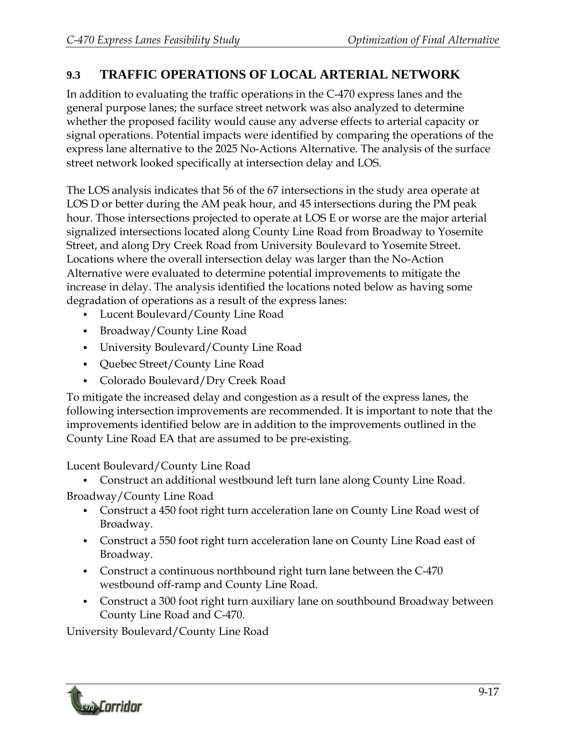#### **9.3 TRAFFIC OPERATIONS OF LOCAL ARTERIAL NETWORK**

In addition to evaluating the traffic operations in the C-470 express lanes and the general purpose lanes; the surface street network was also analyzed to determine whether the proposed facility would cause any adverse effects to arterial capacity or signal operations. Potential impacts were identified by comparing the operations of the express lane alternative to the 2025 No-Actions Alternative. The analysis of the surface street network looked specifically at intersection delay and LOS.

The LOS analysis indicates that 56 of the 67 intersections in the study area operate at LOS D or better during the AM peak hour, and 45 intersections during the PM peak hour. Those intersections projected to operate at LOS E or worse are the major arterial signalized intersections located along County Line Road from Broadway to Yosemite Street, and along Dry Creek Road from University Boulevard to Yosemite Street. Locations where the overall intersection delay was larger than the No-Action Alternative were evaluated to determine potential improvements to mitigate the increase in delay. The analysis identified the locations noted below as having some degradation of operations as a result of the express lanes:

- Lucent Boulevard/County Line Road
- Broadway/County Line Road
- University Boulevard/County Line Road
- Quebec Street/County Line Road
- Colorado Boulevard/Dry Creek Road

To mitigate the increased delay and congestion as a result of the express lanes, the following intersection improvements are recommended. It is important to note that the improvements identified below are in addition to the improvements outlined in the County Line Road EA that are assumed to be pre-existing.

Lucent Boulevard/County Line Road

Construct an additional westbound left turn lane along County Line Road.

Broadway/County Line Road

- Construct a 450 foot right turn acceleration lane on County Line Road west of Broadway.
- Construct a 550 foot right turn acceleration lane on County Line Road east of Broadway.
- Construct a continuous northbound right turn lane between the C-470 westbound off-ramp and County Line Road.
- Construct a 300 foot right turn auxiliary lane on southbound Broadway between County Line Road and C-470.

University Boulevard/County Line Road

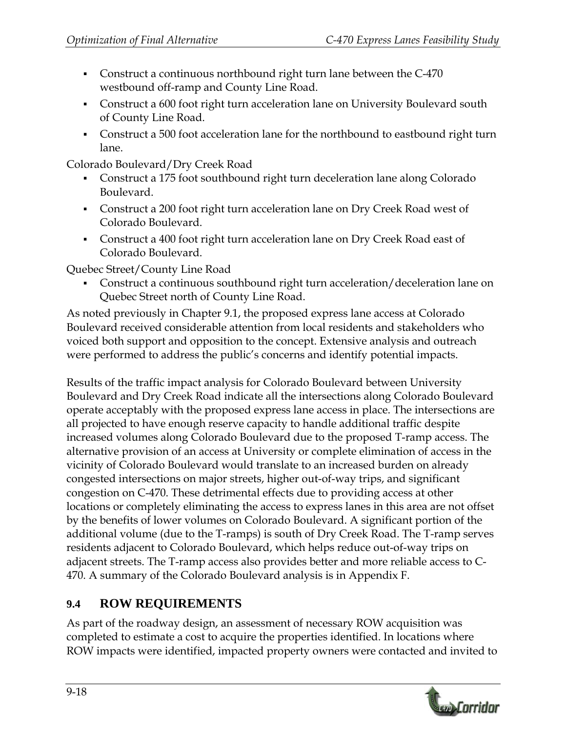- Construct a continuous northbound right turn lane between the C-470 westbound off-ramp and County Line Road.
- Construct a 600 foot right turn acceleration lane on University Boulevard south of County Line Road.
- Construct a 500 foot acceleration lane for the northbound to eastbound right turn lane.

Colorado Boulevard/Dry Creek Road

- Construct a 175 foot southbound right turn deceleration lane along Colorado Boulevard.
- Construct a 200 foot right turn acceleration lane on Dry Creek Road west of Colorado Boulevard.
- Construct a 400 foot right turn acceleration lane on Dry Creek Road east of Colorado Boulevard.

Quebec Street/County Line Road

 Construct a continuous southbound right turn acceleration/deceleration lane on Quebec Street north of County Line Road.

As noted previously in Chapter 9.1, the proposed express lane access at Colorado Boulevard received considerable attention from local residents and stakeholders who voiced both support and opposition to the concept. Extensive analysis and outreach were performed to address the public's concerns and identify potential impacts.

Results of the traffic impact analysis for Colorado Boulevard between University Boulevard and Dry Creek Road indicate all the intersections along Colorado Boulevard operate acceptably with the proposed express lane access in place. The intersections are all projected to have enough reserve capacity to handle additional traffic despite increased volumes along Colorado Boulevard due to the proposed T-ramp access. The alternative provision of an access at University or complete elimination of access in the vicinity of Colorado Boulevard would translate to an increased burden on already congested intersections on major streets, higher out-of-way trips, and significant congestion on C-470. These detrimental effects due to providing access at other locations or completely eliminating the access to express lanes in this area are not offset by the benefits of lower volumes on Colorado Boulevard. A significant portion of the additional volume (due to the T-ramps) is south of Dry Creek Road. The T-ramp serves residents adjacent to Colorado Boulevard, which helps reduce out-of-way trips on adjacent streets. The T-ramp access also provides better and more reliable access to C-470. A summary of the Colorado Boulevard analysis is in Appendix F.

## **9.4 ROW REQUIREMENTS**

As part of the roadway design, an assessment of necessary ROW acquisition was completed to estimate a cost to acquire the properties identified. In locations where ROW impacts were identified, impacted property owners were contacted and invited to

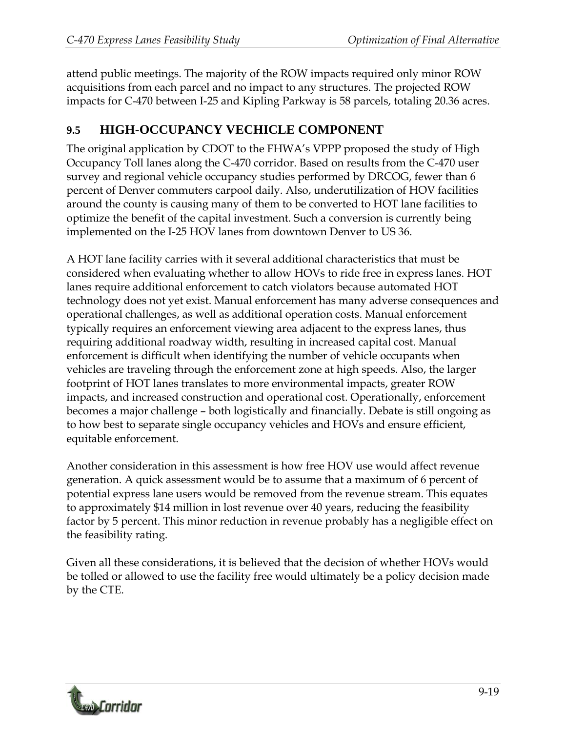attend public meetings. The majority of the ROW impacts required only minor ROW acquisitions from each parcel and no impact to any structures. The projected ROW impacts for C-470 between I-25 and Kipling Parkway is 58 parcels, totaling 20.36 acres.

# **9.5 HIGH-OCCUPANCY VECHICLE COMPONENT**

The original application by CDOT to the FHWA's VPPP proposed the study of High Occupancy Toll lanes along the C-470 corridor. Based on results from the C-470 user survey and regional vehicle occupancy studies performed by DRCOG, fewer than 6 percent of Denver commuters carpool daily. Also, underutilization of HOV facilities around the county is causing many of them to be converted to HOT lane facilities to optimize the benefit of the capital investment. Such a conversion is currently being implemented on the I-25 HOV lanes from downtown Denver to US 36.

A HOT lane facility carries with it several additional characteristics that must be considered when evaluating whether to allow HOVs to ride free in express lanes. HOT lanes require additional enforcement to catch violators because automated HOT technology does not yet exist. Manual enforcement has many adverse consequences and operational challenges, as well as additional operation costs. Manual enforcement typically requires an enforcement viewing area adjacent to the express lanes, thus requiring additional roadway width, resulting in increased capital cost. Manual enforcement is difficult when identifying the number of vehicle occupants when vehicles are traveling through the enforcement zone at high speeds. Also, the larger footprint of HOT lanes translates to more environmental impacts, greater ROW impacts, and increased construction and operational cost. Operationally, enforcement becomes a major challenge – both logistically and financially. Debate is still ongoing as to how best to separate single occupancy vehicles and HOVs and ensure efficient, equitable enforcement.

Another consideration in this assessment is how free HOV use would affect revenue generation. A quick assessment would be to assume that a maximum of 6 percent of potential express lane users would be removed from the revenue stream. This equates to approximately \$14 million in lost revenue over 40 years, reducing the feasibility factor by 5 percent. This minor reduction in revenue probably has a negligible effect on the feasibility rating.

Given all these considerations, it is believed that the decision of whether HOVs would be tolled or allowed to use the facility free would ultimately be a policy decision made by the CTE.